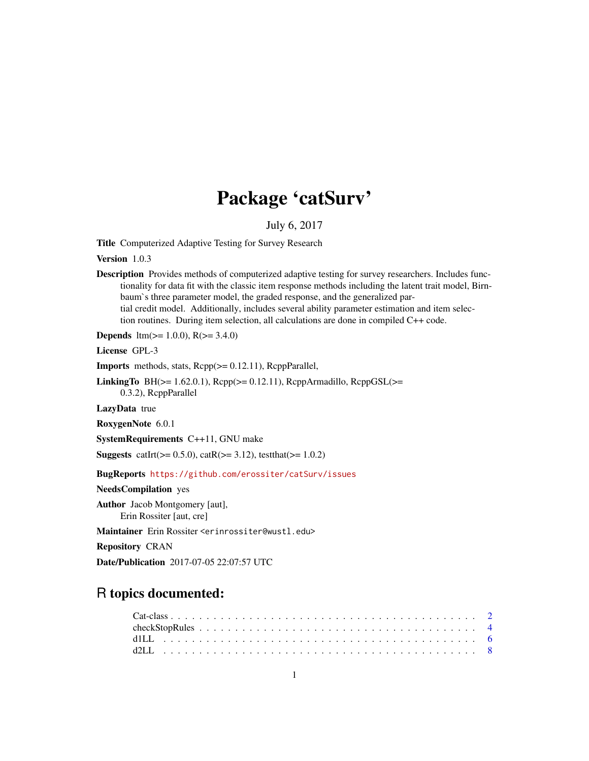# Package 'catSurv'

July 6, 2017

Title Computerized Adaptive Testing for Survey Research

Version 1.0.3

Description Provides methods of computerized adaptive testing for survey researchers. Includes functionality for data fit with the classic item response methods including the latent trait model, Birnbaum`s three parameter model, the graded response, and the generalized partial credit model. Additionally, includes several ability parameter estimation and item selection routines. During item selection, all calculations are done in compiled C++ code.

**Depends**  $\text{ltm} (= 1.0.0), R(>= 3.4.0)$ 

License GPL-3

Imports methods, stats, Rcpp(>= 0.12.11), RcppParallel,

LinkingTo BH( $>= 1.62.0.1$ ), Rcpp( $>= 0.12.11$ ), RcppArmadillo, RcppGSL( $>=$ 

0.3.2), RcppParallel

LazyData true

RoxygenNote 6.0.1

SystemRequirements C++11, GNU make

**Suggests** catIrt( $> = 0.5.0$ ), catR( $> = 3.12$ ), testthat( $> = 1.0.2$ )

BugReports <https://github.com/erossiter/catSurv/issues>

NeedsCompilation yes

Author Jacob Montgomery [aut], Erin Rossiter [aut, cre]

Maintainer Erin Rossiter <erinrossiter@wustl.edu>

Repository CRAN

Date/Publication 2017-07-05 22:07:57 UTC

## R topics documented: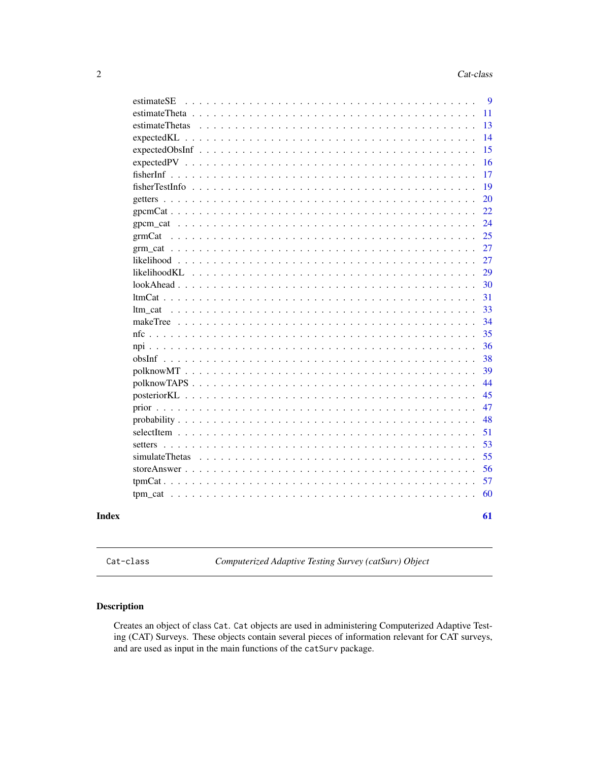<span id="page-1-0"></span>

| Index |                | 61       |
|-------|----------------|----------|
|       |                | 60       |
|       |                | 57       |
|       |                | 56       |
|       |                | 55       |
|       |                | 53       |
|       |                | 51       |
|       |                | 48       |
|       |                | 47       |
|       |                | 45       |
|       |                | 44       |
|       |                | 39       |
|       |                | 38       |
|       |                | 36       |
|       |                | 35       |
|       |                | 34       |
|       |                | 33       |
|       |                | 31       |
|       |                | 30       |
|       |                | 29       |
|       |                | 27       |
|       |                | 27       |
|       |                | 25       |
|       |                | 22<br>24 |
|       |                | 20       |
|       |                | 19       |
|       |                | 17       |
|       |                | 16       |
|       |                | 15       |
|       |                | 14       |
|       | estimateThetas | 13       |
|       |                | 11       |
|       | estimateSE     | 9        |
|       |                |          |

<span id="page-1-1"></span>Cat-class *Computerized Adaptive Testing Survey (catSurv) Object*

### Description

Creates an object of class Cat. Cat objects are used in administering Computerized Adaptive Testing (CAT) Surveys. These objects contain several pieces of information relevant for CAT surveys, and are used as input in the main functions of the catSurv package.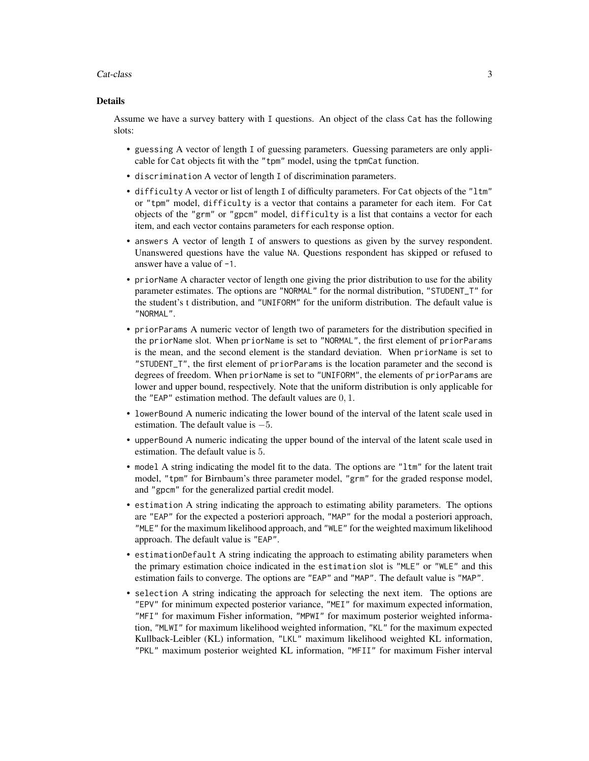#### Cat-class 3

#### Details

Assume we have a survey battery with I questions. An object of the class Cat has the following slots:

- guessing A vector of length I of guessing parameters. Guessing parameters are only applicable for Cat objects fit with the "tpm" model, using the tpmCat function.
- discrimination A vector of length I of discrimination parameters.
- difficulty A vector or list of length I of difficulty parameters. For Cat objects of the "ltm" or "tpm" model, difficulty is a vector that contains a parameter for each item. For Cat objects of the "grm" or "gpcm" model, difficulty is a list that contains a vector for each item, and each vector contains parameters for each response option.
- answers A vector of length I of answers to questions as given by the survey respondent. Unanswered questions have the value NA. Questions respondent has skipped or refused to answer have a value of -1.
- priorName A character vector of length one giving the prior distribution to use for the ability parameter estimates. The options are "NORMAL" for the normal distribution, "STUDENT\_T" for the student's t distribution, and "UNIFORM" for the uniform distribution. The default value is "NORMAL".
- priorParams A numeric vector of length two of parameters for the distribution specified in the priorName slot. When priorName is set to "NORMAL", the first element of priorParams is the mean, and the second element is the standard deviation. When priorName is set to "STUDENT\_T", the first element of priorParams is the location parameter and the second is degrees of freedom. When priorName is set to "UNIFORM", the elements of priorParams are lower and upper bound, respectively. Note that the uniform distribution is only applicable for the "EAP" estimation method. The default values are 0, 1.
- lowerBound A numeric indicating the lower bound of the interval of the latent scale used in estimation. The default value is −5.
- upperBound A numeric indicating the upper bound of the interval of the latent scale used in estimation. The default value is 5.
- model A string indicating the model fit to the data. The options are "ltm" for the latent trait model, "tpm" for Birnbaum's three parameter model, "grm" for the graded response model, and "gpcm" for the generalized partial credit model.
- estimation A string indicating the approach to estimating ability parameters. The options are "EAP" for the expected a posteriori approach, "MAP" for the modal a posteriori approach, "MLE" for the maximum likelihood approach, and "WLE" for the weighted maximum likelihood approach. The default value is "EAP".
- estimationDefault A string indicating the approach to estimating ability parameters when the primary estimation choice indicated in the estimation slot is "MLE" or "WLE" and this estimation fails to converge. The options are "EAP" and "MAP". The default value is "MAP".
- selection A string indicating the approach for selecting the next item. The options are "EPV" for minimum expected posterior variance, "MEI" for maximum expected information, "MFI" for maximum Fisher information, "MPWI" for maximum posterior weighted information, "MLWI" for maximum likelihood weighted information, "KL" for the maximum expected Kullback-Leibler (KL) information, "LKL" maximum likelihood weighted KL information, "PKL" maximum posterior weighted KL information, "MFII" for maximum Fisher interval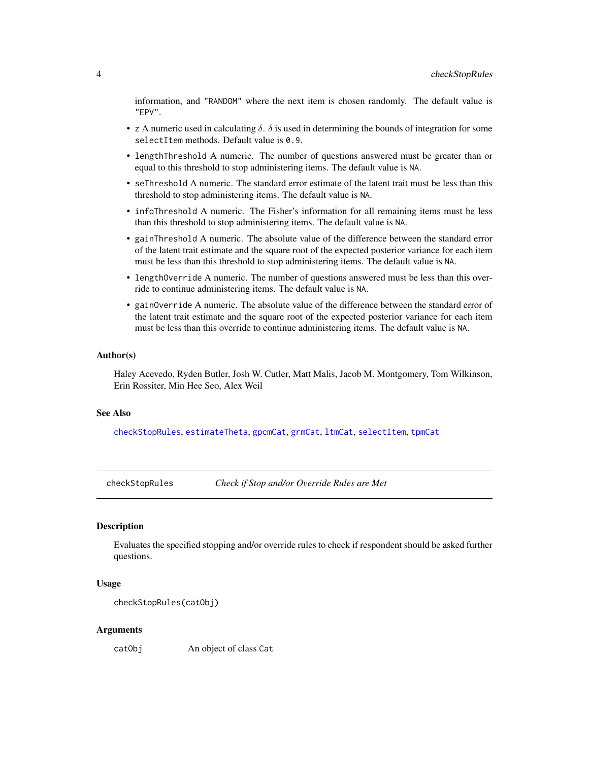<span id="page-3-0"></span>information, and "RANDOM" where the next item is chosen randomly. The default value is "EPV".

- z A numeric used in calculating  $\delta$ .  $\delta$  is used in determining the bounds of integration for some selectItem methods. Default value is 0.9.
- lengthThreshold A numeric. The number of questions answered must be greater than or equal to this threshold to stop administering items. The default value is NA.
- seThreshold A numeric. The standard error estimate of the latent trait must be less than this threshold to stop administering items. The default value is NA.
- infoThreshold A numeric. The Fisher's information for all remaining items must be less than this threshold to stop administering items. The default value is NA.
- gainThreshold A numeric. The absolute value of the difference between the standard error of the latent trait estimate and the square root of the expected posterior variance for each item must be less than this threshold to stop administering items. The default value is NA.
- lengthOverride A numeric. The number of questions answered must be less than this override to continue administering items. The default value is NA.
- gainOverride A numeric. The absolute value of the difference between the standard error of the latent trait estimate and the square root of the expected posterior variance for each item must be less than this override to continue administering items. The default value is NA.

#### Author(s)

Haley Acevedo, Ryden Butler, Josh W. Cutler, Matt Malis, Jacob M. Montgomery, Tom Wilkinson, Erin Rossiter, Min Hee Seo, Alex Weil

#### See Also

[checkStopRules](#page-3-1), [estimateTheta](#page-10-1), [gpcmCat](#page-21-1), [grmCat](#page-24-1), [ltmCat](#page-30-1), [selectItem](#page-50-1), [tpmCat](#page-56-1)

<span id="page-3-1"></span>checkStopRules *Check if Stop and/or Override Rules are Met*

#### Description

Evaluates the specified stopping and/or override rules to check if respondent should be asked further questions.

### Usage

```
checkStopRules(catObj)
```
### Arguments

catObj An object of class Cat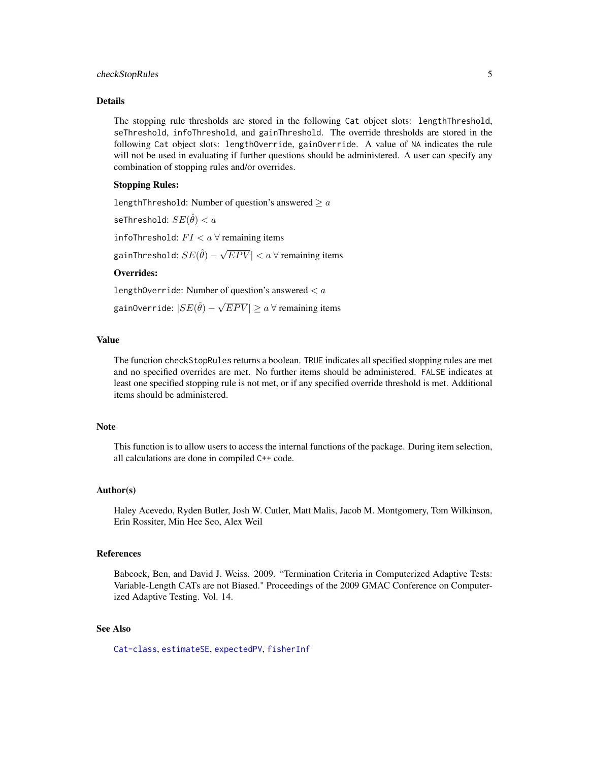### <span id="page-4-0"></span>checkStopRules 5

#### Details

The stopping rule thresholds are stored in the following Cat object slots: lengthThreshold, seThreshold, infoThreshold, and gainThreshold. The override thresholds are stored in the following Cat object slots: lengthOverride, gainOverride. A value of NA indicates the rule will not be used in evaluating if further questions should be administered. A user can specify any combination of stopping rules and/or overrides.

#### Stopping Rules:

lengthThreshold: Number of question's answered  $\ge a$ 

seThreshold:  $SE(\hat{\theta}) < a$ 

infoThreshold:  $FI < a \forall$  remaining items

gainThreshold:  $SE(\hat{\theta}) - \sqrt{\ }$  $EPV$   $<$   $a \forall$  remaining items

### Overrides:

lengthOverride: Number of question's answered  $$ gainOverride:  $|SE(\hat{\theta}) - \sqrt{\frac{\hat{\theta}}{n}}$  $EPV \geq a \forall$  remaining items

#### Value

The function checkStopRules returns a boolean. TRUE indicates all specified stopping rules are met and no specified overrides are met. No further items should be administered. FALSE indicates at least one specified stopping rule is not met, or if any specified override threshold is met. Additional items should be administered.

#### **Note**

This function is to allow users to access the internal functions of the package. During item selection, all calculations are done in compiled C++ code.

### Author(s)

Haley Acevedo, Ryden Butler, Josh W. Cutler, Matt Malis, Jacob M. Montgomery, Tom Wilkinson, Erin Rossiter, Min Hee Seo, Alex Weil

### References

Babcock, Ben, and David J. Weiss. 2009. "Termination Criteria in Computerized Adaptive Tests: Variable-Length CATs are not Biased." Proceedings of the 2009 GMAC Conference on Computerized Adaptive Testing. Vol. 14.

### See Also

[Cat-class](#page-1-1), [estimateSE](#page-8-1), [expectedPV](#page-15-1), [fisherInf](#page-16-1)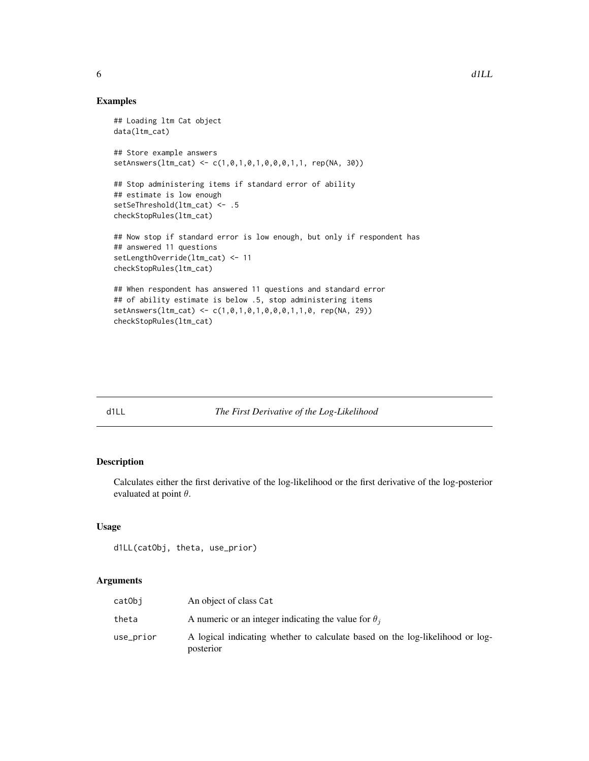### Examples

```
## Loading ltm Cat object
data(ltm_cat)
## Store example answers
setAnswers(ltm_cat) <- c(1,0,1,0,1,0,0,0,1,1, rep(NA, 30))
## Stop administering items if standard error of ability
## estimate is low enough
setSeThreshold(ltm_cat) <- .5
checkStopRules(ltm_cat)
## Now stop if standard error is low enough, but only if respondent has
## answered 11 questions
setLengthOverride(ltm_cat) <- 11
checkStopRules(ltm_cat)
## When respondent has answered 11 questions and standard error
## of ability estimate is below .5, stop administering items
setAnswers(ltm_cat) <- c(1,0,1,0,1,0,0,0,1,1,0, rep(NA, 29))
checkStopRules(ltm_cat)
```
### <span id="page-5-1"></span>d1LL *The First Derivative of the Log-Likelihood*

### Description

Calculates either the first derivative of the log-likelihood or the first derivative of the log-posterior evaluated at point  $\theta$ .

### Usage

```
d1LL(catObj, theta, use_prior)
```
### Arguments

| catObi    | An object of class Cat                                                                     |
|-----------|--------------------------------------------------------------------------------------------|
| theta     | A numeric or an integer indicating the value for $\theta_i$                                |
| use_prior | A logical indicating whether to calculate based on the log-likelihood or log-<br>posterior |

<span id="page-5-0"></span>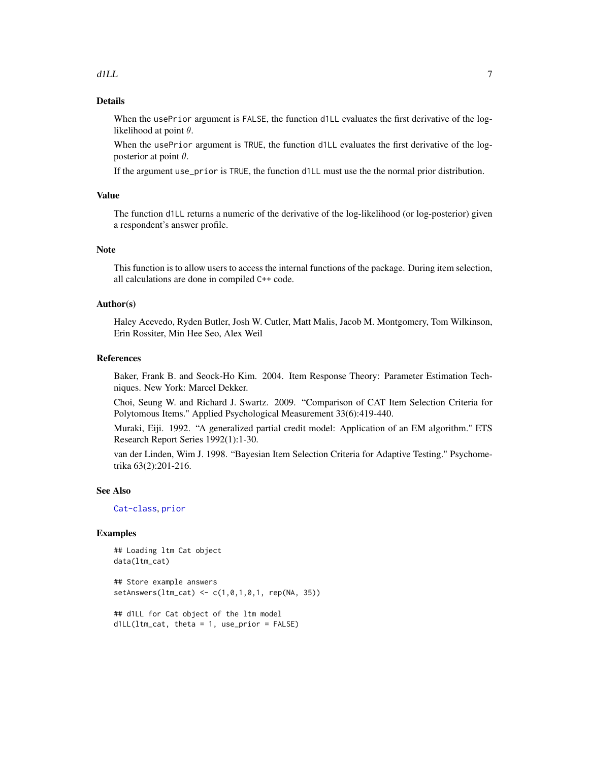#### <span id="page-6-0"></span>d1LL 7

### Details

When the usePrior argument is FALSE, the function d1LL evaluates the first derivative of the loglikelihood at point  $\theta$ .

When the usePrior argument is TRUE, the function d1LL evaluates the first derivative of the logposterior at point  $\theta$ .

If the argument use\_prior is TRUE, the function d1LL must use the the normal prior distribution.

### Value

The function d1LL returns a numeric of the derivative of the log-likelihood (or log-posterior) given a respondent's answer profile.

### Note

This function is to allow users to access the internal functions of the package. During item selection, all calculations are done in compiled C++ code.

#### Author(s)

Haley Acevedo, Ryden Butler, Josh W. Cutler, Matt Malis, Jacob M. Montgomery, Tom Wilkinson, Erin Rossiter, Min Hee Seo, Alex Weil

#### References

Baker, Frank B. and Seock-Ho Kim. 2004. Item Response Theory: Parameter Estimation Techniques. New York: Marcel Dekker.

Choi, Seung W. and Richard J. Swartz. 2009. "Comparison of CAT Item Selection Criteria for Polytomous Items." Applied Psychological Measurement 33(6):419-440.

Muraki, Eiji. 1992. "A generalized partial credit model: Application of an EM algorithm." ETS Research Report Series 1992(1):1-30.

van der Linden, Wim J. 1998. "Bayesian Item Selection Criteria for Adaptive Testing." Psychometrika 63(2):201-216.

### See Also

[Cat-class](#page-1-1), [prior](#page-46-1)

### Examples

## Loading ltm Cat object data(ltm\_cat)

## Store example answers setAnswers(ltm\_cat) <- c(1,0,1,0,1, rep(NA, 35))

```
## d1LL for Cat object of the ltm model
d1LL(ltm_cat, theta = 1, use_prior = FALSE)
```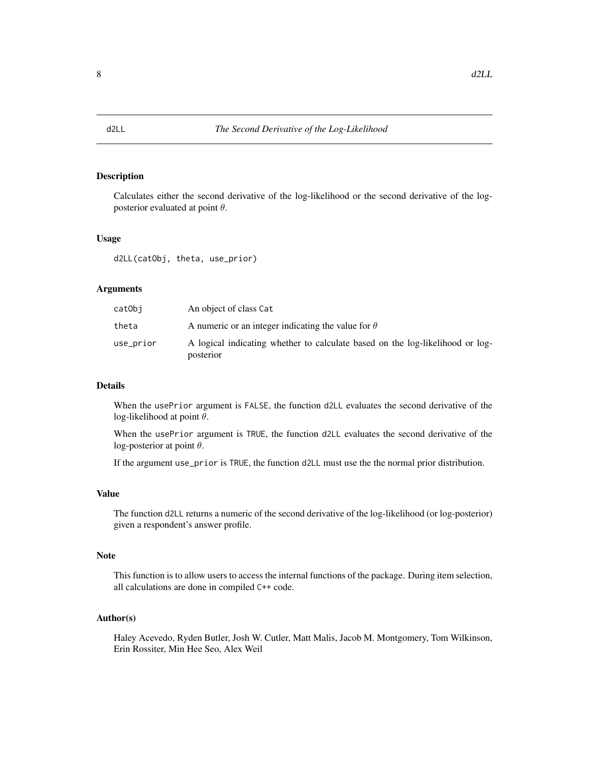<span id="page-7-0"></span>

### Description

Calculates either the second derivative of the log-likelihood or the second derivative of the logposterior evaluated at point  $\theta$ .

#### Usage

d2LL(catObj, theta, use\_prior)

#### Arguments

| catObi    | An object of class Cat                                                                     |
|-----------|--------------------------------------------------------------------------------------------|
| theta     | A numeric or an integer indicating the value for $\theta$                                  |
| use_prior | A logical indicating whether to calculate based on the log-likelihood or log-<br>posterior |

### Details

When the usePrior argument is FALSE, the function d2LL evaluates the second derivative of the log-likelihood at point  $\theta$ .

When the usePrior argument is TRUE, the function d2LL evaluates the second derivative of the log-posterior at point  $\theta$ .

If the argument use\_prior is TRUE, the function d2LL must use the the normal prior distribution.

#### Value

The function d2LL returns a numeric of the second derivative of the log-likelihood (or log-posterior) given a respondent's answer profile.

### Note

This function is to allow users to access the internal functions of the package. During item selection, all calculations are done in compiled C++ code.

#### Author(s)

Haley Acevedo, Ryden Butler, Josh W. Cutler, Matt Malis, Jacob M. Montgomery, Tom Wilkinson, Erin Rossiter, Min Hee Seo, Alex Weil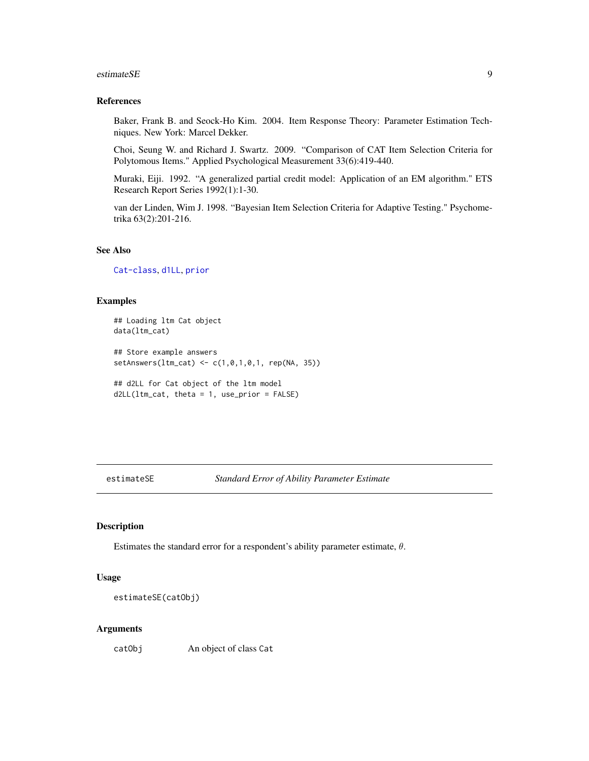#### <span id="page-8-0"></span>estimateSE 9

#### References

Baker, Frank B. and Seock-Ho Kim. 2004. Item Response Theory: Parameter Estimation Techniques. New York: Marcel Dekker.

Choi, Seung W. and Richard J. Swartz. 2009. "Comparison of CAT Item Selection Criteria for Polytomous Items." Applied Psychological Measurement 33(6):419-440.

Muraki, Eiji. 1992. "A generalized partial credit model: Application of an EM algorithm." ETS Research Report Series 1992(1):1-30.

van der Linden, Wim J. 1998. "Bayesian Item Selection Criteria for Adaptive Testing." Psychometrika 63(2):201-216.

### See Also

[Cat-class](#page-1-1), [d1LL](#page-5-1), [prior](#page-46-1)

### Examples

```
## Loading ltm Cat object
data(ltm_cat)
## Store example answers
setAnswers(ltm_cat) <- c(1,0,1,0,1, rep(NA, 35))
## d2LL for Cat object of the ltm model
d2LL(ltm_cat, theta = 1, use\_prior = FALSE)
```
<span id="page-8-1"></span>estimateSE *Standard Error of Ability Parameter Estimate*

#### Description

Estimates the standard error for a respondent's ability parameter estimate,  $\theta$ .

#### Usage

```
estimateSE(catObj)
```
#### Arguments

catObj An object of class Cat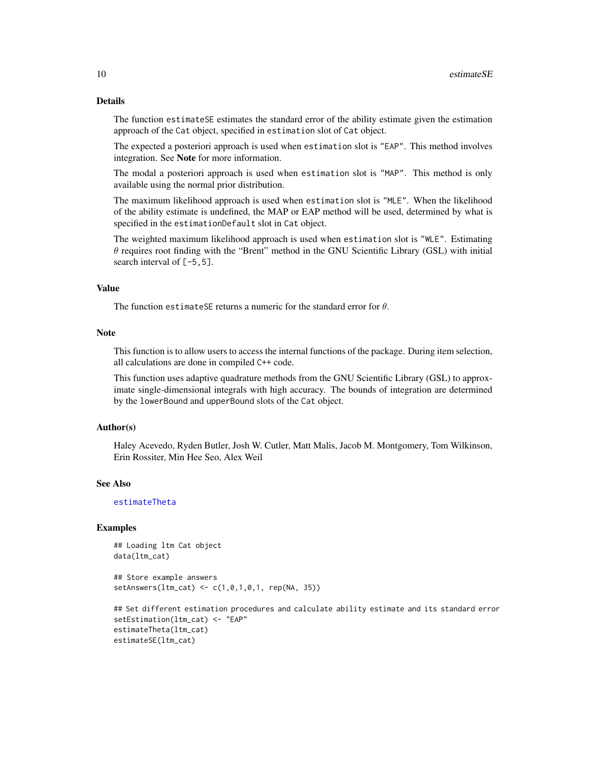### Details

The function estimateSE estimates the standard error of the ability estimate given the estimation approach of the Cat object, specified in estimation slot of Cat object.

The expected a posteriori approach is used when estimation slot is "EAP". This method involves integration. See Note for more information.

The modal a posteriori approach is used when estimation slot is "MAP". This method is only available using the normal prior distribution.

The maximum likelihood approach is used when estimation slot is "MLE". When the likelihood of the ability estimate is undefined, the MAP or EAP method will be used, determined by what is specified in the estimationDefault slot in Cat object.

The weighted maximum likelihood approach is used when estimation slot is "WLE". Estimating  $\theta$  requires root finding with the "Brent" method in the GNU Scientific Library (GSL) with initial search interval of  $[-5, 5]$ .

#### Value

The function estimateSE returns a numeric for the standard error for  $\theta$ .

### Note

This function is to allow users to access the internal functions of the package. During item selection, all calculations are done in compiled C++ code.

This function uses adaptive quadrature methods from the GNU Scientific Library (GSL) to approximate single-dimensional integrals with high accuracy. The bounds of integration are determined by the lowerBound and upperBound slots of the Cat object.

#### Author(s)

Haley Acevedo, Ryden Butler, Josh W. Cutler, Matt Malis, Jacob M. Montgomery, Tom Wilkinson, Erin Rossiter, Min Hee Seo, Alex Weil

### See Also

#### [estimateTheta](#page-10-1)

### Examples

## Loading ltm Cat object data(ltm\_cat)

```
## Store example answers
setAnswers(ltm_cat) <- c(1,0,1,0,1, rep(NA, 35))
```

```
## Set different estimation procedures and calculate ability estimate and its standard error
setEstimation(ltm_cat) <- "EAP"
estimateTheta(ltm_cat)
estimateSE(ltm_cat)
```
<span id="page-9-0"></span>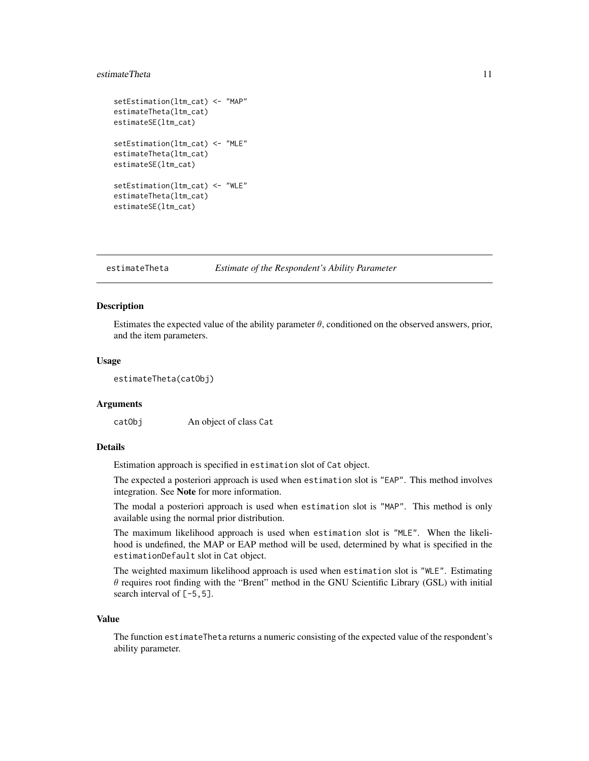### <span id="page-10-0"></span>estimateTheta 11

```
setEstimation(ltm_cat) <- "MAP"
estimateTheta(ltm_cat)
estimateSE(ltm_cat)
setEstimation(ltm_cat) <- "MLE"
estimateTheta(ltm_cat)
estimateSE(ltm_cat)
setEstimation(ltm_cat) <- "WLE"
estimateTheta(ltm_cat)
estimateSE(ltm_cat)
```
### <span id="page-10-1"></span>estimateTheta *Estimate of the Respondent's Ability Parameter*

#### Description

Estimates the expected value of the ability parameter  $\theta$ , conditioned on the observed answers, prior, and the item parameters.

#### Usage

```
estimateTheta(catObj)
```
#### Arguments

catObj An object of class Cat

### Details

Estimation approach is specified in estimation slot of Cat object.

The expected a posteriori approach is used when estimation slot is "EAP". This method involves integration. See Note for more information.

The modal a posteriori approach is used when estimation slot is "MAP". This method is only available using the normal prior distribution.

The maximum likelihood approach is used when estimation slot is "MLE". When the likelihood is undefined, the MAP or EAP method will be used, determined by what is specified in the estimationDefault slot in Cat object.

The weighted maximum likelihood approach is used when estimation slot is "WLE". Estimating  $\theta$  requires root finding with the "Brent" method in the GNU Scientific Library (GSL) with initial search interval of  $[-5, 5]$ .

### Value

The function estimateTheta returns a numeric consisting of the expected value of the respondent's ability parameter.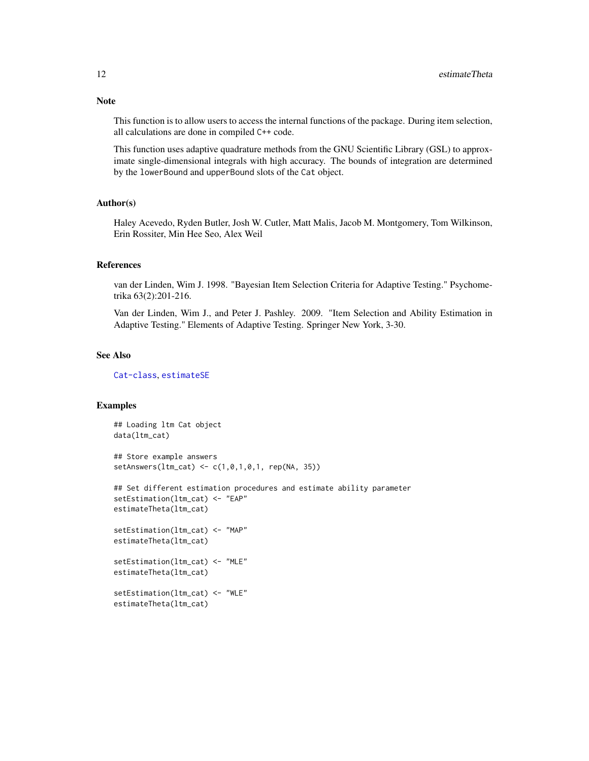This function is to allow users to access the internal functions of the package. During item selection, all calculations are done in compiled C++ code.

This function uses adaptive quadrature methods from the GNU Scientific Library (GSL) to approximate single-dimensional integrals with high accuracy. The bounds of integration are determined by the lowerBound and upperBound slots of the Cat object.

#### Author(s)

Haley Acevedo, Ryden Butler, Josh W. Cutler, Matt Malis, Jacob M. Montgomery, Tom Wilkinson, Erin Rossiter, Min Hee Seo, Alex Weil

### References

van der Linden, Wim J. 1998. "Bayesian Item Selection Criteria for Adaptive Testing." Psychometrika 63(2):201-216.

Van der Linden, Wim J., and Peter J. Pashley. 2009. "Item Selection and Ability Estimation in Adaptive Testing." Elements of Adaptive Testing. Springer New York, 3-30.

#### See Also

[Cat-class](#page-1-1), [estimateSE](#page-8-1)

### Examples

```
## Loading ltm Cat object
data(ltm_cat)
## Store example answers
setAnswers(ltm_cat) <- c(1,0,1,0,1, rep(NA, 35))
## Set different estimation procedures and estimate ability parameter
setEstimation(ltm_cat) <- "EAP"
estimateTheta(ltm_cat)
setEstimation(ltm_cat) <- "MAP"
estimateTheta(ltm_cat)
setEstimation(ltm_cat) <- "MLE"
estimateTheta(ltm_cat)
setEstimation(ltm_cat) <- "WLE"
estimateTheta(ltm_cat)
```
<span id="page-11-0"></span>

## Note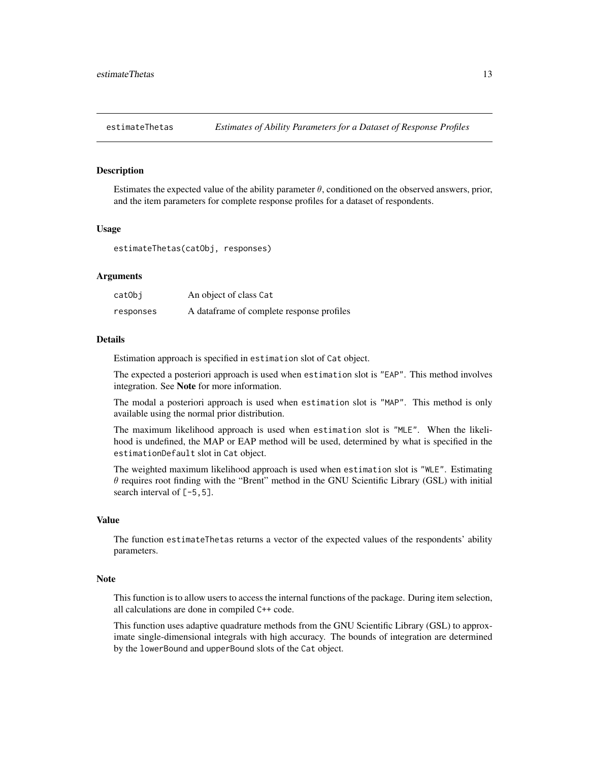<span id="page-12-1"></span><span id="page-12-0"></span>

#### Description

Estimates the expected value of the ability parameter  $\theta$ , conditioned on the observed answers, prior, and the item parameters for complete response profiles for a dataset of respondents.

#### Usage

estimateThetas(catObj, responses)

#### Arguments

| catObj    | An object of class Cat                    |
|-----------|-------------------------------------------|
| responses | A dataframe of complete response profiles |

#### Details

Estimation approach is specified in estimation slot of Cat object.

The expected a posteriori approach is used when estimation slot is "EAP". This method involves integration. See Note for more information.

The modal a posteriori approach is used when estimation slot is "MAP". This method is only available using the normal prior distribution.

The maximum likelihood approach is used when estimation slot is "MLE". When the likelihood is undefined, the MAP or EAP method will be used, determined by what is specified in the estimationDefault slot in Cat object.

The weighted maximum likelihood approach is used when estimation slot is "WLE". Estimating  $\theta$  requires root finding with the "Brent" method in the GNU Scientific Library (GSL) with initial search interval of  $[-5, 5]$ .

### Value

The function estimateThetas returns a vector of the expected values of the respondents' ability parameters.

#### Note

This function is to allow users to access the internal functions of the package. During item selection, all calculations are done in compiled C++ code.

This function uses adaptive quadrature methods from the GNU Scientific Library (GSL) to approximate single-dimensional integrals with high accuracy. The bounds of integration are determined by the lowerBound and upperBound slots of the Cat object.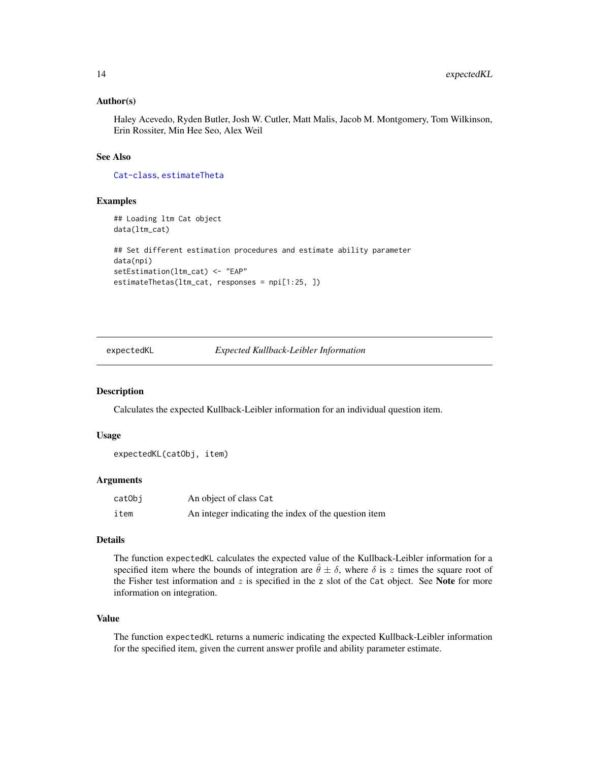### <span id="page-13-0"></span>Author(s)

Haley Acevedo, Ryden Butler, Josh W. Cutler, Matt Malis, Jacob M. Montgomery, Tom Wilkinson, Erin Rossiter, Min Hee Seo, Alex Weil

#### See Also

[Cat-class](#page-1-1), [estimateTheta](#page-10-1)

### Examples

```
## Loading ltm Cat object
data(ltm_cat)
## Set different estimation procedures and estimate ability parameter
data(npi)
setEstimation(ltm_cat) <- "EAP"
estimateThetas(ltm_cat, responses = npi[1:25, ])
```
<span id="page-13-1"></span>expectedKL *Expected Kullback-Leibler Information*

### Description

Calculates the expected Kullback-Leibler information for an individual question item.

#### Usage

```
expectedKL(catObj, item)
```
#### Arguments

| catObi | An object of class Cat                               |
|--------|------------------------------------------------------|
| item   | An integer indicating the index of the question item |

#### Details

The function expectedKL calculates the expected value of the Kullback-Leibler information for a specified item where the bounds of integration are  $\hat{\theta} \pm \delta$ , where  $\delta$  is z times the square root of the Fisher test information and  $z$  is specified in the z slot of the Cat object. See Note for more information on integration.

#### Value

The function expectedKL returns a numeric indicating the expected Kullback-Leibler information for the specified item, given the current answer profile and ability parameter estimate.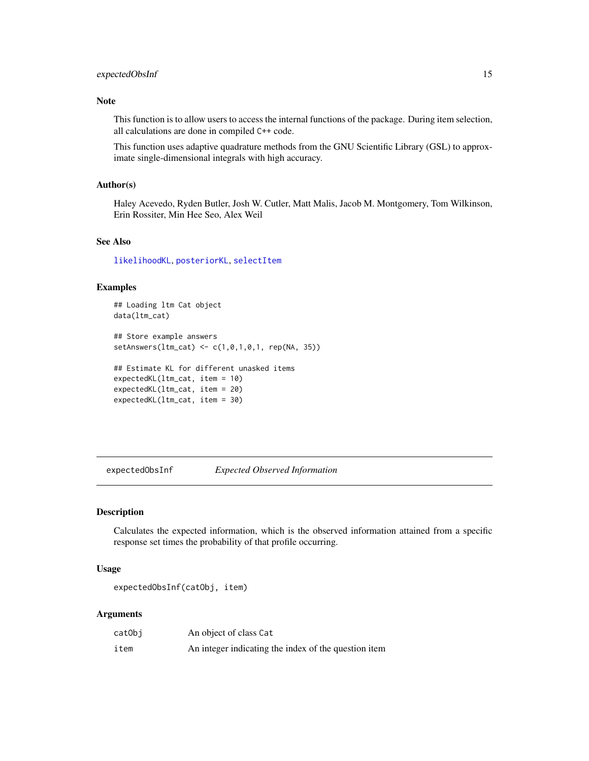### <span id="page-14-0"></span>expectedObsInf 15

#### Note

This function is to allow users to access the internal functions of the package. During item selection, all calculations are done in compiled C++ code.

This function uses adaptive quadrature methods from the GNU Scientific Library (GSL) to approximate single-dimensional integrals with high accuracy.

### Author(s)

Haley Acevedo, Ryden Butler, Josh W. Cutler, Matt Malis, Jacob M. Montgomery, Tom Wilkinson, Erin Rossiter, Min Hee Seo, Alex Weil

#### See Also

[likelihoodKL](#page-28-1), [posteriorKL](#page-44-1), [selectItem](#page-50-1)

#### Examples

```
## Loading ltm Cat object
data(ltm_cat)
## Store example answers
setAnswers(ltm_cat) <- c(1,0,1,0,1, rep(NA, 35))
## Estimate KL for different unasked items
expectedKL(ltm_cat, item = 10)
```
expectedKL(ltm\_cat, item = 20) expectedKL(ltm\_cat, item = 30)

<span id="page-14-1"></span>expectedObsInf *Expected Observed Information*

### Description

Calculates the expected information, which is the observed information attained from a specific response set times the probability of that profile occurring.

#### Usage

```
expectedObsInf(catObj, item)
```
#### Arguments

| catObi | An object of class Cat                               |
|--------|------------------------------------------------------|
| item   | An integer indicating the index of the question item |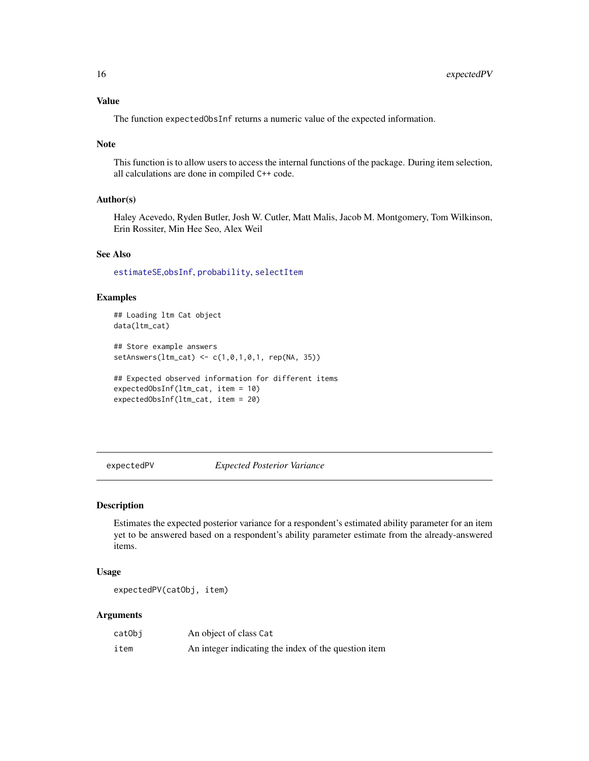### <span id="page-15-0"></span>Value

The function expectedObsInf returns a numeric value of the expected information.

#### Note

This function is to allow users to access the internal functions of the package. During item selection, all calculations are done in compiled C++ code.

### Author(s)

Haley Acevedo, Ryden Butler, Josh W. Cutler, Matt Malis, Jacob M. Montgomery, Tom Wilkinson, Erin Rossiter, Min Hee Seo, Alex Weil

### See Also

[estimateSE](#page-8-1),[obsInf](#page-37-1), [probability](#page-47-1), [selectItem](#page-50-1)

### Examples

```
## Loading ltm Cat object
data(ltm_cat)
## Store example answers
setAnswers(ltm_cat) <- c(1,0,1,0,1, rep(NA, 35))
```

```
## Expected observed information for different items
expectedObsInf(ltm_cat, item = 10)
expectedObsInf(ltm_cat, item = 20)
```
<span id="page-15-1"></span>expectedPV *Expected Posterior Variance*

#### Description

Estimates the expected posterior variance for a respondent's estimated ability parameter for an item yet to be answered based on a respondent's ability parameter estimate from the already-answered items.

#### Usage

expectedPV(catObj, item)

#### Arguments

| catObj | An object of class Cat                               |
|--------|------------------------------------------------------|
| item   | An integer indicating the index of the question item |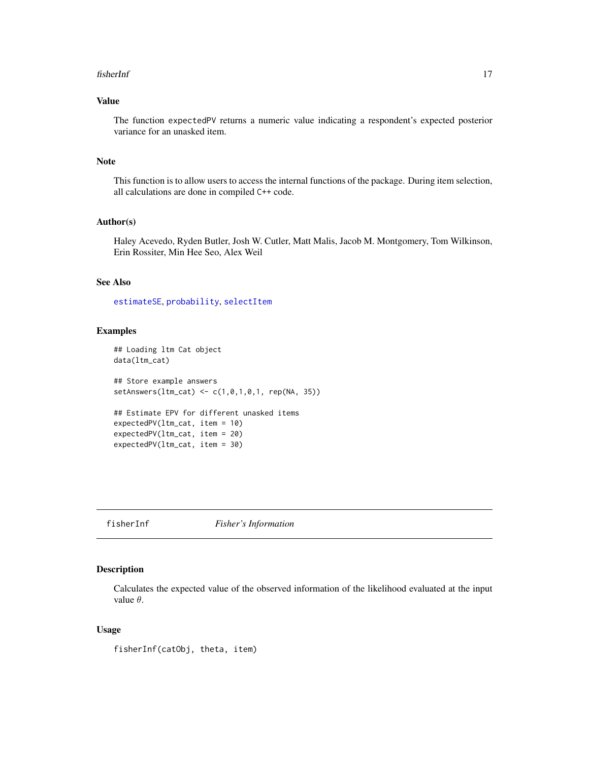#### <span id="page-16-0"></span>fisherInf 17

### Value

The function expectedPV returns a numeric value indicating a respondent's expected posterior variance for an unasked item.

### Note

This function is to allow users to access the internal functions of the package. During item selection, all calculations are done in compiled C++ code.

### Author(s)

Haley Acevedo, Ryden Butler, Josh W. Cutler, Matt Malis, Jacob M. Montgomery, Tom Wilkinson, Erin Rossiter, Min Hee Seo, Alex Weil

### See Also

[estimateSE](#page-8-1), [probability](#page-47-1), [selectItem](#page-50-1)

#### Examples

```
## Loading ltm Cat object
data(ltm_cat)
## Store example answers
setAnswers(ltm_cat) <- c(1,0,1,0,1, rep(NA, 35))
## Estimate EPV for different unasked items
expectedPV(ltm_cat, item = 10)
expectedPV(ltm_cat, item = 20)
expectedPV(ltm_cat, item = 30)
```
<span id="page-16-1"></span>fisherInf *Fisher's Information*

#### Description

Calculates the expected value of the observed information of the likelihood evaluated at the input value  $\theta$ .

### Usage

fisherInf(catObj, theta, item)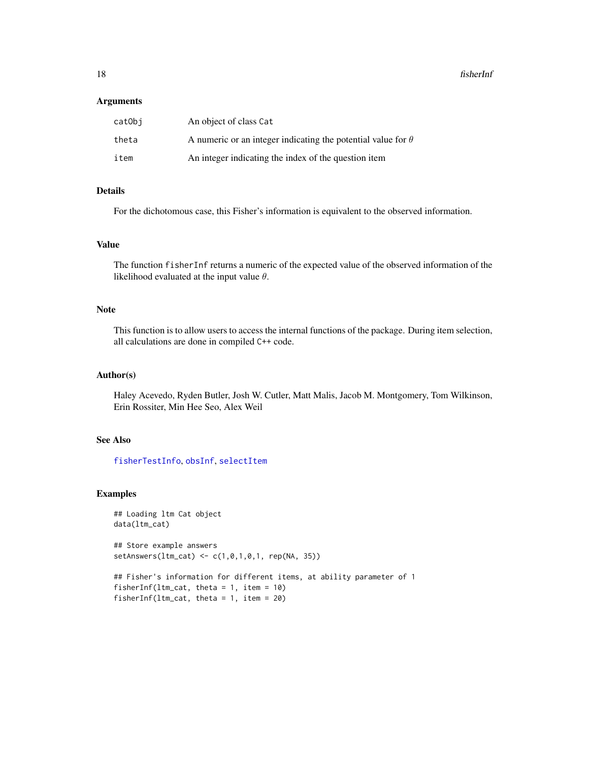<span id="page-17-0"></span>18 fisherInf

#### Arguments

| catObi | An object of class Cat                                              |
|--------|---------------------------------------------------------------------|
| theta  | A numeric or an integer indicating the potential value for $\theta$ |
| item   | An integer indicating the index of the question item                |

### Details

For the dichotomous case, this Fisher's information is equivalent to the observed information.

### Value

The function fisherInf returns a numeric of the expected value of the observed information of the likelihood evaluated at the input value  $\theta$ .

#### Note

This function is to allow users to access the internal functions of the package. During item selection, all calculations are done in compiled C++ code.

### Author(s)

Haley Acevedo, Ryden Butler, Josh W. Cutler, Matt Malis, Jacob M. Montgomery, Tom Wilkinson, Erin Rossiter, Min Hee Seo, Alex Weil

### See Also

[fisherTestInfo](#page-18-1), [obsInf](#page-37-1), [selectItem](#page-50-1)

fisherInf(ltm\_cat, theta = 1, item = 20)

### Examples

```
## Loading ltm Cat object
data(ltm_cat)
## Store example answers
setAnswers(ltm_cat) <- c(1,0,1,0,1, rep(NA, 35))
## Fisher's information for different items, at ability parameter of 1
fisherInf(ltm_cat, theta = 1, item = 10)
```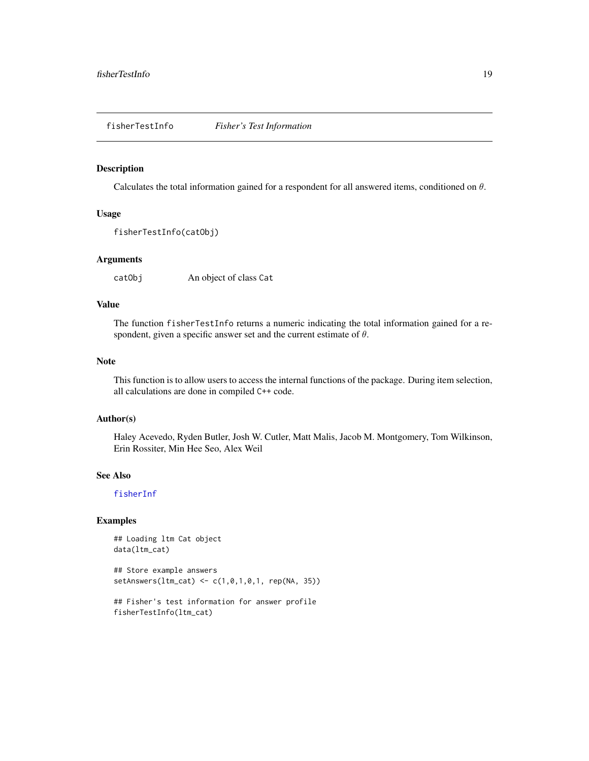<span id="page-18-1"></span><span id="page-18-0"></span>fisherTestInfo *Fisher's Test Information*

### Description

Calculates the total information gained for a respondent for all answered items, conditioned on  $\theta$ .

#### Usage

```
fisherTestInfo(catObj)
```
### Arguments

catObj An object of class Cat

#### Value

The function fisherTestInfo returns a numeric indicating the total information gained for a respondent, given a specific answer set and the current estimate of  $\theta$ .

#### Note

This function is to allow users to access the internal functions of the package. During item selection, all calculations are done in compiled C++ code.

#### Author(s)

Haley Acevedo, Ryden Butler, Josh W. Cutler, Matt Malis, Jacob M. Montgomery, Tom Wilkinson, Erin Rossiter, Min Hee Seo, Alex Weil

### See Also

[fisherInf](#page-16-1)

### Examples

```
## Loading ltm Cat object
data(ltm_cat)
```
## Store example answers setAnswers(ltm\_cat) <- c(1,0,1,0,1, rep(NA, 35))

```
## Fisher's test information for answer profile
fisherTestInfo(ltm_cat)
```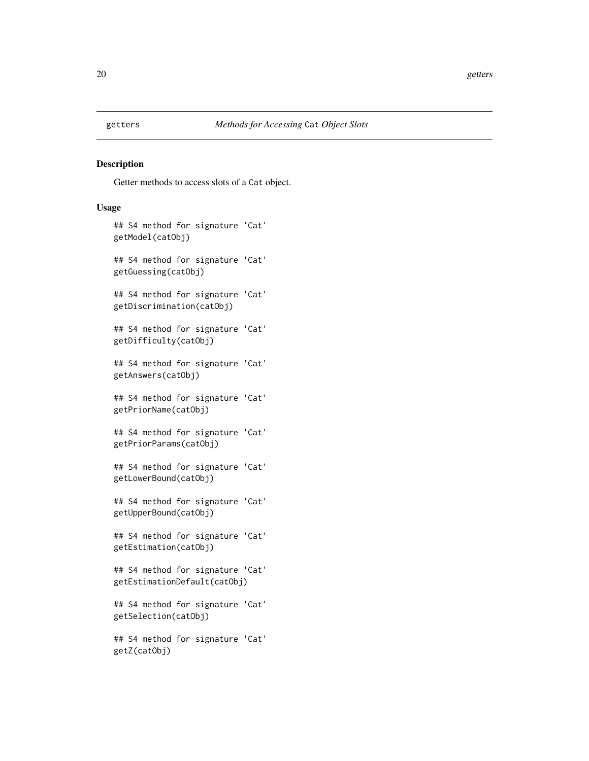<span id="page-19-1"></span><span id="page-19-0"></span>

#### Description

Getter methods to access slots of a Cat object.

#### Usage

```
## S4 method for signature 'Cat'
getModel(catObj)
## S4 method for signature 'Cat'
getGuessing(catObj)
## S4 method for signature 'Cat'
getDiscrimination(catObj)
## S4 method for signature 'Cat'
getDifficulty(catObj)
## S4 method for signature 'Cat'
getAnswers(catObj)
## S4 method for signature 'Cat'
getPriorName(catObj)
## S4 method for signature 'Cat'
getPriorParams(catObj)
## S4 method for signature 'Cat'
getLowerBound(catObj)
## S4 method for signature 'Cat'
getUpperBound(catObj)
## S4 method for signature 'Cat'
getEstimation(catObj)
## S4 method for signature 'Cat'
getEstimationDefault(catObj)
## S4 method for signature 'Cat'
getSelection(catObj)
## S4 method for signature 'Cat'
getZ(catObj)
```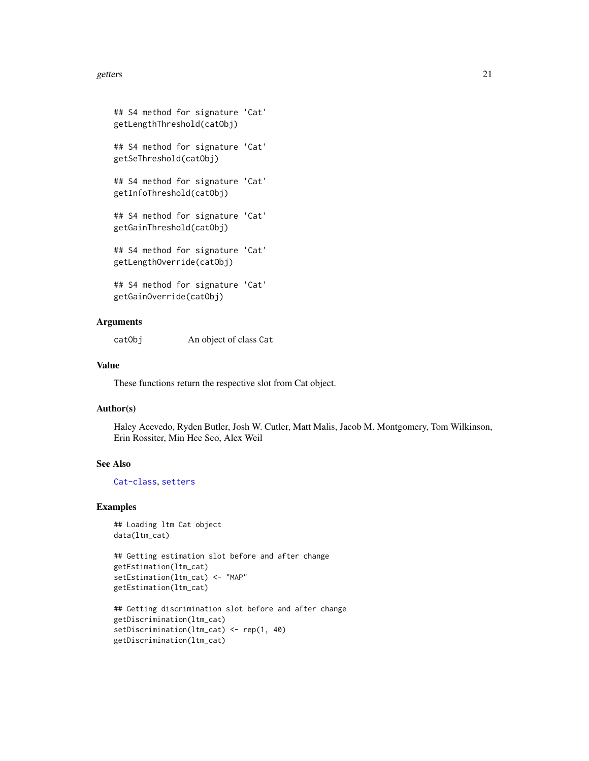#### <span id="page-20-0"></span>getters 21

```
## S4 method for signature 'Cat'
getLengthThreshold(catObj)
## S4 method for signature 'Cat'
getSeThreshold(catObj)
## S4 method for signature 'Cat'
getInfoThreshold(catObj)
## S4 method for signature 'Cat'
getGainThreshold(catObj)
## S4 method for signature 'Cat'
getLengthOverride(catObj)
## S4 method for signature 'Cat'
getGainOverride(catObj)
```
### Arguments

catObj An object of class Cat

### Value

These functions return the respective slot from Cat object.

#### Author(s)

Haley Acevedo, Ryden Butler, Josh W. Cutler, Matt Malis, Jacob M. Montgomery, Tom Wilkinson, Erin Rossiter, Min Hee Seo, Alex Weil

#### See Also

[Cat-class](#page-1-1), [setters](#page-52-1)

### Examples

```
## Loading ltm Cat object
data(ltm_cat)
```
## Getting estimation slot before and after change getEstimation(ltm\_cat) setEstimation(ltm\_cat) <- "MAP" getEstimation(ltm\_cat)

```
## Getting discrimination slot before and after change
getDiscrimination(ltm_cat)
setDiscrimination(ltm_cat) <- rep(1, 40)
getDiscrimination(ltm_cat)
```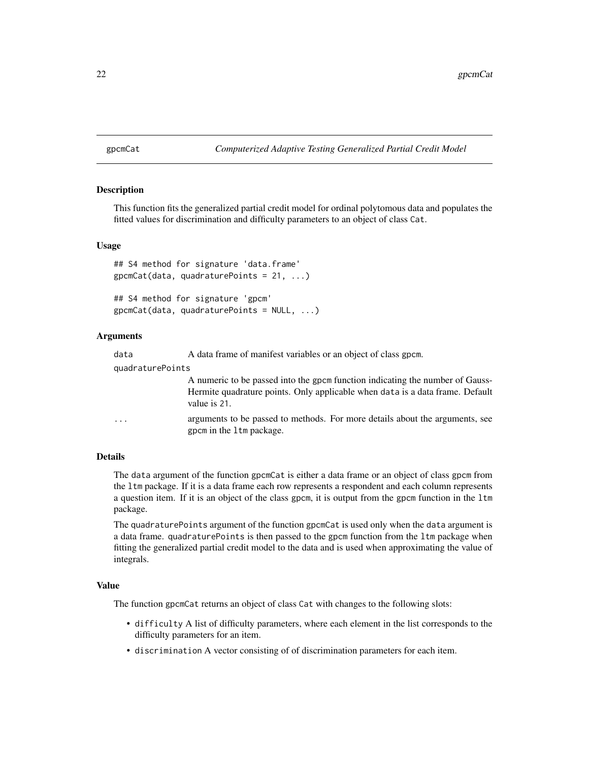#### <span id="page-21-1"></span><span id="page-21-0"></span>gpcmCat *Computerized Adaptive Testing Generalized Partial Credit Model*

#### Description

This function fits the generalized partial credit model for ordinal polytomous data and populates the fitted values for discrimination and difficulty parameters to an object of class Cat.

#### Usage

## S4 method for signature 'data.frame'  $gpcmCat(data, quadraturePoints = 21, ...)$ 

## S4 method for signature 'gpcm' gpcmCat(data, quadraturePoints = NULL, ...)

### Arguments

| data             | A data frame of manifest variables or an object of class gpcm.                                                                                                                 |
|------------------|--------------------------------------------------------------------------------------------------------------------------------------------------------------------------------|
| quadraturePoints |                                                                                                                                                                                |
|                  | A numeric to be passed into the gpcm function indicating the number of Gauss-<br>Hermite quadrature points. Only applicable when data is a data frame. Default<br>value is 21. |
| .                | arguments to be passed to methods. For more details about the arguments, see<br>gpcm in the 1tm package.                                                                       |

#### Details

The data argument of the function gpcmCat is either a data frame or an object of class gpcm from the ltm package. If it is a data frame each row represents a respondent and each column represents a question item. If it is an object of the class gpcm, it is output from the gpcm function in the ltm package.

The quadraturePoints argument of the function gpcmCat is used only when the data argument is a data frame. quadraturePoints is then passed to the gpcm function from the ltm package when fitting the generalized partial credit model to the data and is used when approximating the value of integrals.

#### Value

The function gpcmCat returns an object of class Cat with changes to the following slots:

- difficulty A list of difficulty parameters, where each element in the list corresponds to the difficulty parameters for an item.
- discrimination A vector consisting of of discrimination parameters for each item.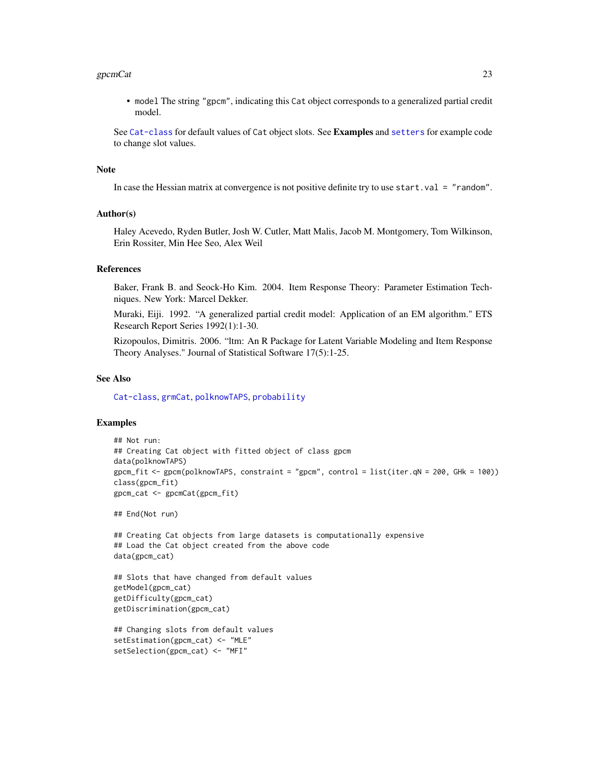#### <span id="page-22-0"></span>gpcmCat  $23$

• model The string "gpcm", indicating this Cat object corresponds to a generalized partial credit model.

See [Cat-class](#page-1-1) for default values of Cat object slots. See Examples and [setters](#page-52-1) for example code to change slot values.

#### Note

In case the Hessian matrix at convergence is not positive definite try to use start. val = "random".

#### Author(s)

Haley Acevedo, Ryden Butler, Josh W. Cutler, Matt Malis, Jacob M. Montgomery, Tom Wilkinson, Erin Rossiter, Min Hee Seo, Alex Weil

### References

Baker, Frank B. and Seock-Ho Kim. 2004. Item Response Theory: Parameter Estimation Techniques. New York: Marcel Dekker.

Muraki, Eiji. 1992. "A generalized partial credit model: Application of an EM algorithm." ETS Research Report Series 1992(1):1-30.

Rizopoulos, Dimitris. 2006. "ltm: An R Package for Latent Variable Modeling and Item Response Theory Analyses." Journal of Statistical Software 17(5):1-25.

### See Also

[Cat-class](#page-1-1), [grmCat](#page-24-1), [polknowTAPS](#page-43-1), [probability](#page-47-1)

#### Examples

```
## Not run:
## Creating Cat object with fitted object of class gpcm
data(polknowTAPS)
gpcm_fit <- gpcm(polknowTAPS, constraint = "gpcm", control = list(iter.qN = 200, GHk = 100))
class(gpcm_fit)
gpcm_cat <- gpcmCat(gpcm_fit)
```
## End(Not run)

```
## Creating Cat objects from large datasets is computationally expensive
## Load the Cat object created from the above code
data(gpcm_cat)
```

```
## Slots that have changed from default values
getModel(gpcm_cat)
getDifficulty(gpcm_cat)
getDiscrimination(gpcm_cat)
```

```
## Changing slots from default values
setEstimation(gpcm_cat) <- "MLE"
setSelection(gpcm_cat) <- "MFI"
```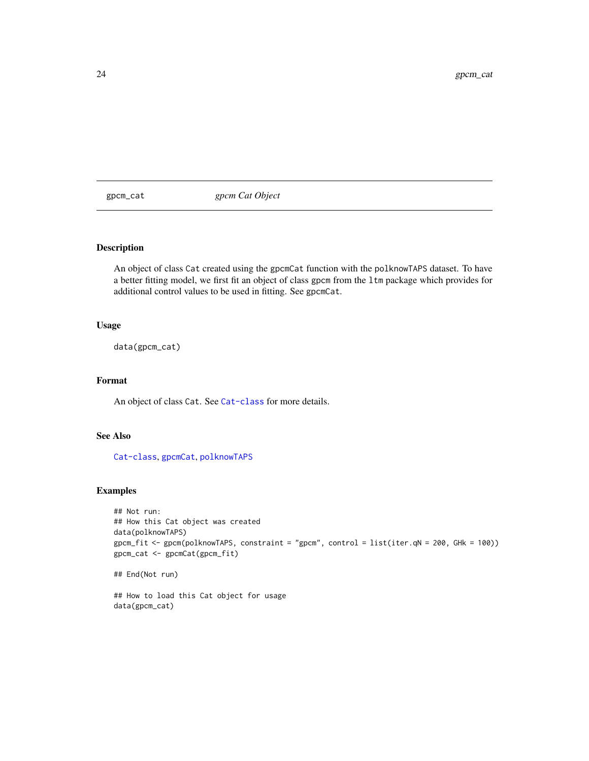<span id="page-23-0"></span>gpcm\_cat *gpcm Cat Object*

### Description

An object of class Cat created using the gpcmCat function with the polknowTAPS dataset. To have a better fitting model, we first fit an object of class gpcm from the ltm package which provides for additional control values to be used in fitting. See gpcmCat.

#### Usage

data(gpcm\_cat)

### Format

An object of class Cat. See [Cat-class](#page-1-1) for more details.

### See Also

[Cat-class](#page-1-1), [gpcmCat](#page-21-1), [polknowTAPS](#page-43-1)

### Examples

```
## Not run:
## How this Cat object was created
data(polknowTAPS)
gpcm_fit <- gpcm(polknowTAPS, constraint = "gpcm", control = list(iter.qN = 200, GHk = 100))
gpcm_cat <- gpcmCat(gpcm_fit)
```

```
## End(Not run)
```
## How to load this Cat object for usage data(gpcm\_cat)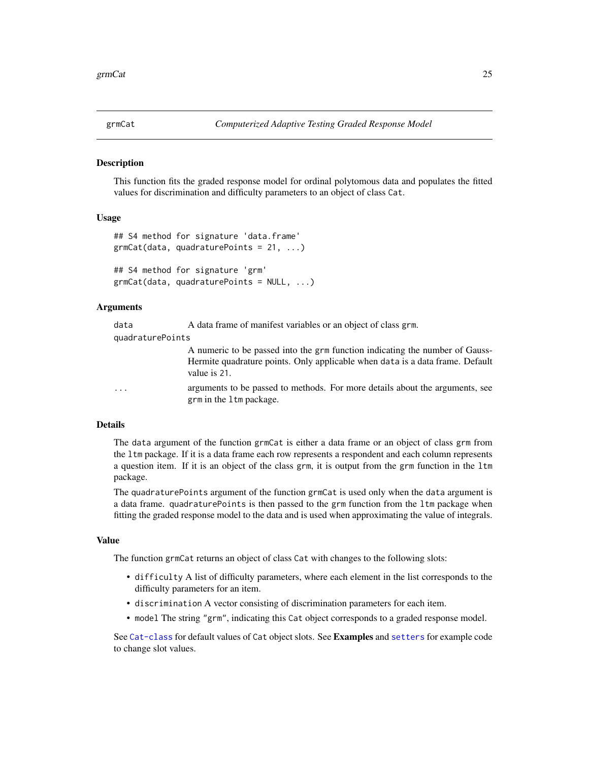<span id="page-24-1"></span><span id="page-24-0"></span>

#### **Description**

This function fits the graded response model for ordinal polytomous data and populates the fitted values for discrimination and difficulty parameters to an object of class Cat.

#### Usage

```
## S4 method for signature 'data.frame'
grmCat(data, quadraturePoints = 21, ...)
```

```
## S4 method for signature 'grm'
grmCat(data, quadraturePoints = NULL, ...)
```
### Arguments

| data             | A data frame of manifest variables or an object of class grm.                                                                                                                 |
|------------------|-------------------------------------------------------------------------------------------------------------------------------------------------------------------------------|
| quadraturePoints |                                                                                                                                                                               |
|                  | A numeric to be passed into the grm function indicating the number of Gauss-<br>Hermite quadrature points. Only applicable when data is a data frame. Default<br>value is 21. |
| .                | arguments to be passed to methods. For more details about the arguments, see<br>grm in the 1tm package.                                                                       |

### Details

The data argument of the function grmCat is either a data frame or an object of class grm from the ltm package. If it is a data frame each row represents a respondent and each column represents a question item. If it is an object of the class grm, it is output from the grm function in the ltm package.

The quadraturePoints argument of the function grmCat is used only when the data argument is a data frame. quadraturePoints is then passed to the grm function from the ltm package when fitting the graded response model to the data and is used when approximating the value of integrals.

#### Value

The function grmCat returns an object of class Cat with changes to the following slots:

- difficulty A list of difficulty parameters, where each element in the list corresponds to the difficulty parameters for an item.
- discrimination A vector consisting of discrimination parameters for each item.
- model The string "grm", indicating this Cat object corresponds to a graded response model.

See [Cat-class](#page-1-1) for default values of Cat object slots. See Examples and [setters](#page-52-1) for example code to change slot values.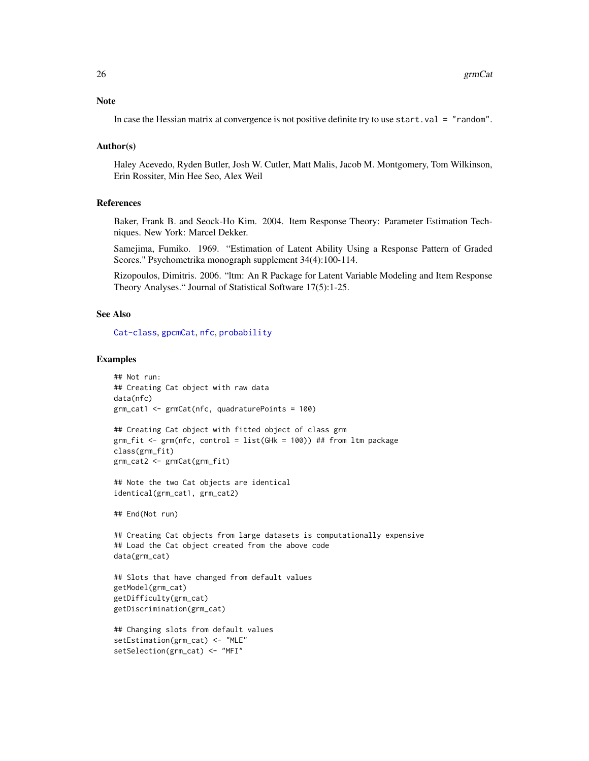#### <span id="page-25-0"></span>**Note**

In case the Hessian matrix at convergence is not positive definite try to use start. val = "random".

#### Author(s)

Haley Acevedo, Ryden Butler, Josh W. Cutler, Matt Malis, Jacob M. Montgomery, Tom Wilkinson, Erin Rossiter, Min Hee Seo, Alex Weil

#### References

Baker, Frank B. and Seock-Ho Kim. 2004. Item Response Theory: Parameter Estimation Techniques. New York: Marcel Dekker.

Samejima, Fumiko. 1969. "Estimation of Latent Ability Using a Response Pattern of Graded Scores." Psychometrika monograph supplement 34(4):100-114.

Rizopoulos, Dimitris. 2006. "ltm: An R Package for Latent Variable Modeling and Item Response Theory Analyses." Journal of Statistical Software 17(5):1-25.

#### See Also

[Cat-class](#page-1-1), [gpcmCat](#page-21-1), [nfc](#page-34-1), [probability](#page-47-1)

#### Examples

```
## Not run:
## Creating Cat object with raw data
data(nfc)
grm_cat1 <- grmCat(nfc, quadraturePoints = 100)
## Creating Cat object with fitted object of class grm
grm_fit <- grm(nfc, control = list(GHK = 100))## from ltm package
class(grm_fit)
grm_cat2 <- grmCat(grm_fit)
## Note the two Cat objects are identical
identical(grm_cat1, grm_cat2)
## End(Not run)
## Creating Cat objects from large datasets is computationally expensive
## Load the Cat object created from the above code
data(grm_cat)
## Slots that have changed from default values
getModel(grm_cat)
getDifficulty(grm_cat)
getDiscrimination(grm_cat)
## Changing slots from default values
setEstimation(grm_cat) <- "MLE"
setSelection(grm_cat) <- "MFI"
```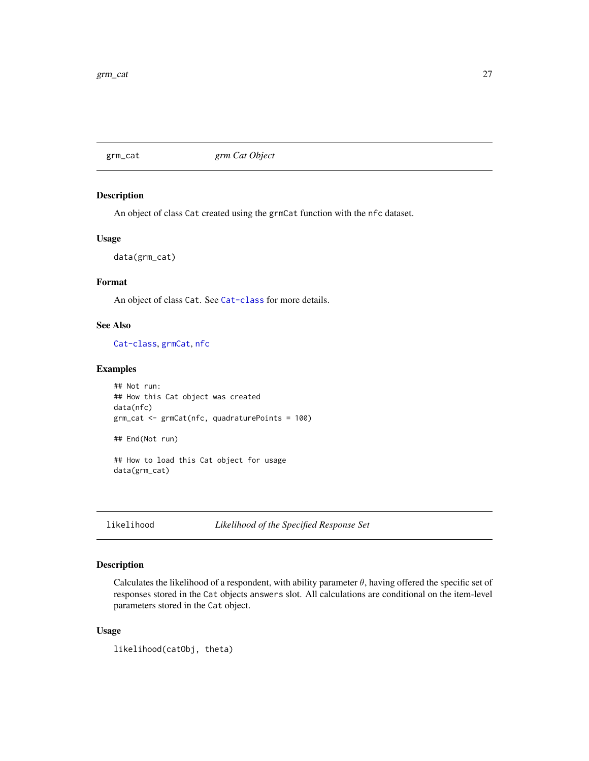<span id="page-26-0"></span>grm\_cat *grm Cat Object*

### Description

An object of class Cat created using the grmCat function with the nfc dataset.

#### Usage

data(grm\_cat)

### Format

An object of class Cat. See [Cat-class](#page-1-1) for more details.

#### See Also

[Cat-class](#page-1-1), [grmCat](#page-24-1), [nfc](#page-34-1)

#### Examples

```
## Not run:
## How this Cat object was created
data(nfc)
grm_cat <- grmCat(nfc, quadraturePoints = 100)
## End(Not run)
## How to load this Cat object for usage
data(grm_cat)
```
likelihood *Likelihood of the Specified Response Set*

### Description

Calculates the likelihood of a respondent, with ability parameter  $\theta$ , having offered the specific set of responses stored in the Cat objects answers slot. All calculations are conditional on the item-level parameters stored in the Cat object.

#### Usage

```
likelihood(catObj, theta)
```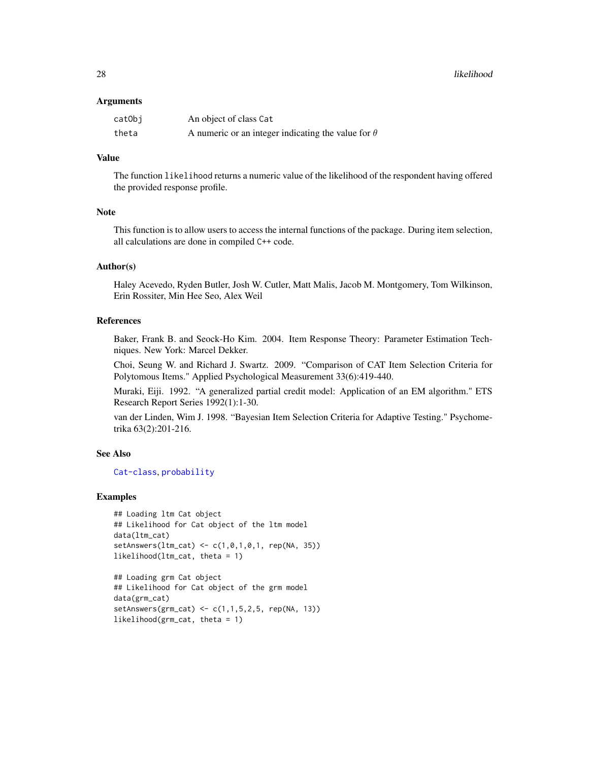<span id="page-27-0"></span>28 likelihood na maanda kalendari ka maanda ka sida saaraa ka maanda ka maanda ka maanda ka maanda ka maanda k

#### Arguments

| catObi | An object of class Cat                                    |
|--------|-----------------------------------------------------------|
| theta  | A numeric or an integer indicating the value for $\theta$ |

### Value

The function likelihood returns a numeric value of the likelihood of the respondent having offered the provided response profile.

### Note

This function is to allow users to access the internal functions of the package. During item selection, all calculations are done in compiled C++ code.

#### Author(s)

Haley Acevedo, Ryden Butler, Josh W. Cutler, Matt Malis, Jacob M. Montgomery, Tom Wilkinson, Erin Rossiter, Min Hee Seo, Alex Weil

#### References

Baker, Frank B. and Seock-Ho Kim. 2004. Item Response Theory: Parameter Estimation Techniques. New York: Marcel Dekker.

Choi, Seung W. and Richard J. Swartz. 2009. "Comparison of CAT Item Selection Criteria for Polytomous Items." Applied Psychological Measurement 33(6):419-440.

Muraki, Eiji. 1992. "A generalized partial credit model: Application of an EM algorithm." ETS Research Report Series 1992(1):1-30.

van der Linden, Wim J. 1998. "Bayesian Item Selection Criteria for Adaptive Testing." Psychometrika 63(2):201-216.

### See Also

[Cat-class](#page-1-1), [probability](#page-47-1)

### Examples

```
## Loading ltm Cat object
## Likelihood for Cat object of the ltm model
data(ltm_cat)
setAnswers(ltm_cat) <- c(1,0,1,0,1, rep(NA, 35))
likelihood(ltm_cat, theta = 1)
```

```
## Loading grm Cat object
## Likelihood for Cat object of the grm model
data(grm_cat)
setAnswers(grm_cat) <- c(1,1,5,2,5, rep(NA, 13))
likelihood(grm_cat, theta = 1)
```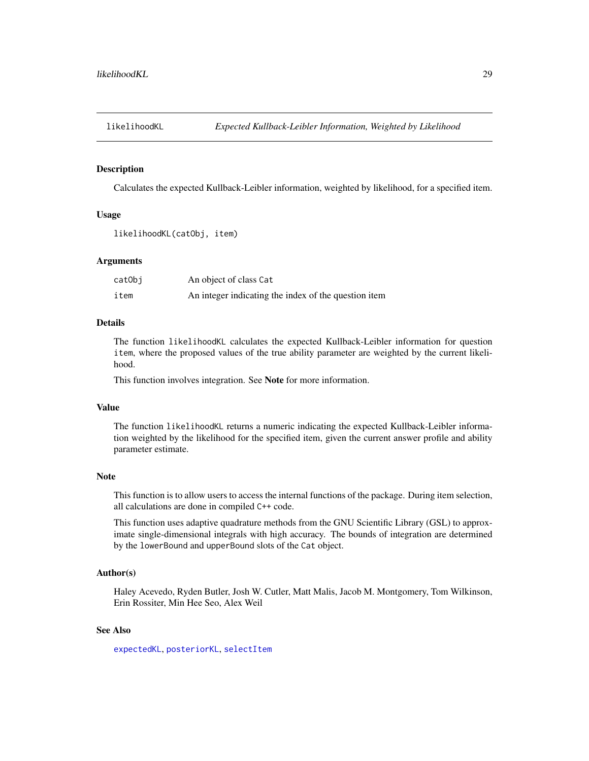<span id="page-28-1"></span><span id="page-28-0"></span>

### **Description**

Calculates the expected Kullback-Leibler information, weighted by likelihood, for a specified item.

#### Usage

```
likelihoodKL(catObj, item)
```
### Arguments

| catObi | An object of class Cat                               |
|--------|------------------------------------------------------|
| item   | An integer indicating the index of the question item |

### Details

The function likelihoodKL calculates the expected Kullback-Leibler information for question item, where the proposed values of the true ability parameter are weighted by the current likelihood.

This function involves integration. See Note for more information.

#### Value

The function likelihoodKL returns a numeric indicating the expected Kullback-Leibler information weighted by the likelihood for the specified item, given the current answer profile and ability parameter estimate.

#### Note

This function is to allow users to access the internal functions of the package. During item selection, all calculations are done in compiled C++ code.

This function uses adaptive quadrature methods from the GNU Scientific Library (GSL) to approximate single-dimensional integrals with high accuracy. The bounds of integration are determined by the lowerBound and upperBound slots of the Cat object.

#### Author(s)

Haley Acevedo, Ryden Butler, Josh W. Cutler, Matt Malis, Jacob M. Montgomery, Tom Wilkinson, Erin Rossiter, Min Hee Seo, Alex Weil

### See Also

[expectedKL](#page-13-1), [posteriorKL](#page-44-1), [selectItem](#page-50-1)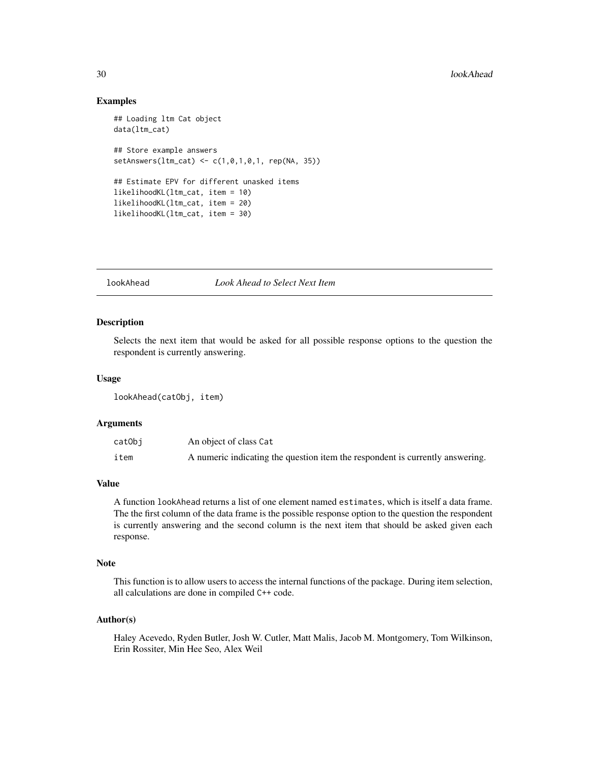### Examples

```
## Loading ltm Cat object
data(ltm_cat)
## Store example answers
setAnswers(ltm_cat) <- c(1,0,1,0,1, rep(NA, 35))
## Estimate EPV for different unasked items
likelihoodKL(ltm_cat, item = 10)
likelihoodKL(ltm_cat, item = 20)
likelihoodKL(ltm_cat, item = 30)
```
#### lookAhead *Look Ahead to Select Next Item*

### Description

Selects the next item that would be asked for all possible response options to the question the respondent is currently answering.

#### Usage

lookAhead(catObj, item)

#### Arguments

| catObi | An object of class Cat                                                        |
|--------|-------------------------------------------------------------------------------|
| item   | A numeric indicating the question item the respondent is currently answering. |

#### Value

A function lookAhead returns a list of one element named estimates, which is itself a data frame. The the first column of the data frame is the possible response option to the question the respondent is currently answering and the second column is the next item that should be asked given each response.

#### Note

This function is to allow users to access the internal functions of the package. During item selection, all calculations are done in compiled C++ code.

### Author(s)

Haley Acevedo, Ryden Butler, Josh W. Cutler, Matt Malis, Jacob M. Montgomery, Tom Wilkinson, Erin Rossiter, Min Hee Seo, Alex Weil

<span id="page-29-0"></span>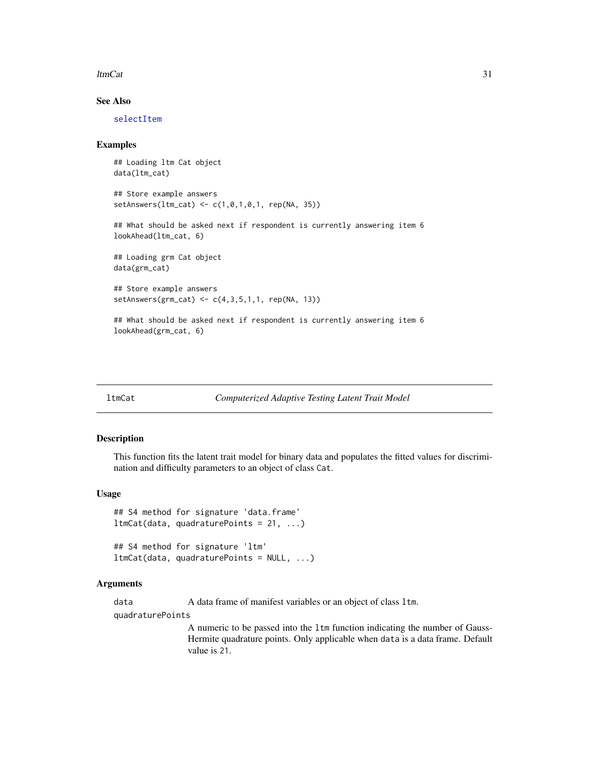#### <span id="page-30-0"></span> $l$ tmCat  $31$

### See Also

[selectItem](#page-50-1)

#### Examples

```
## Loading ltm Cat object
data(ltm_cat)
## Store example answers
setAnswers(ltm_cat) <- c(1,0,1,0,1, rep(NA, 35))
## What should be asked next if respondent is currently answering item 6
lookAhead(ltm_cat, 6)
## Loading grm Cat object
data(grm_cat)
## Store example answers
setAnswers(grm_cat) <- c(4,3,5,1,1, rep(NA, 13))
## What should be asked next if respondent is currently answering item 6
lookAhead(grm_cat, 6)
```
<span id="page-30-1"></span>

#### ltmCat *Computerized Adaptive Testing Latent Trait Model*

#### Description

This function fits the latent trait model for binary data and populates the fitted values for discrimination and difficulty parameters to an object of class Cat.

#### Usage

## S4 method for signature 'data.frame' ltmCat(data, quadraturePoints = 21, ...)

## S4 method for signature 'ltm' ltmCat(data, quadraturePoints = NULL, ...)

#### Arguments

data A data frame of manifest variables or an object of class 1tm.

quadraturePoints

A numeric to be passed into the ltm function indicating the number of Gauss-Hermite quadrature points. Only applicable when data is a data frame. Default value is 21.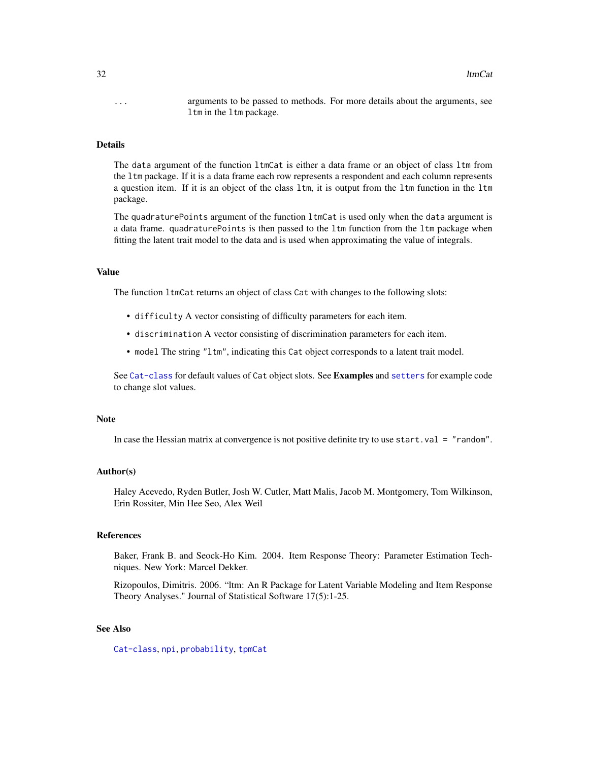<span id="page-31-0"></span>... arguments to be passed to methods. For more details about the arguments, see ltm in the ltm package.

#### Details

The data argument of the function ltmCat is either a data frame or an object of class ltm from the ltm package. If it is a data frame each row represents a respondent and each column represents a question item. If it is an object of the class ltm, it is output from the ltm function in the ltm package.

The quadraturePoints argument of the function ltmCat is used only when the data argument is a data frame. quadraturePoints is then passed to the ltm function from the ltm package when fitting the latent trait model to the data and is used when approximating the value of integrals.

### Value

The function ltmCat returns an object of class Cat with changes to the following slots:

- difficulty A vector consisting of difficulty parameters for each item.
- discrimination A vector consisting of discrimination parameters for each item.
- model The string "ltm", indicating this Cat object corresponds to a latent trait model.

See [Cat-class](#page-1-1) for default values of Cat object slots. See Examples and [setters](#page-52-1) for example code to change slot values.

#### **Note**

In case the Hessian matrix at convergence is not positive definite try to use start. val = "random".

#### Author(s)

Haley Acevedo, Ryden Butler, Josh W. Cutler, Matt Malis, Jacob M. Montgomery, Tom Wilkinson, Erin Rossiter, Min Hee Seo, Alex Weil

#### References

Baker, Frank B. and Seock-Ho Kim. 2004. Item Response Theory: Parameter Estimation Techniques. New York: Marcel Dekker.

Rizopoulos, Dimitris. 2006. "ltm: An R Package for Latent Variable Modeling and Item Response Theory Analyses." Journal of Statistical Software 17(5):1-25.

#### See Also

[Cat-class](#page-1-1), [npi](#page-35-1), [probability](#page-47-1), [tpmCat](#page-56-1)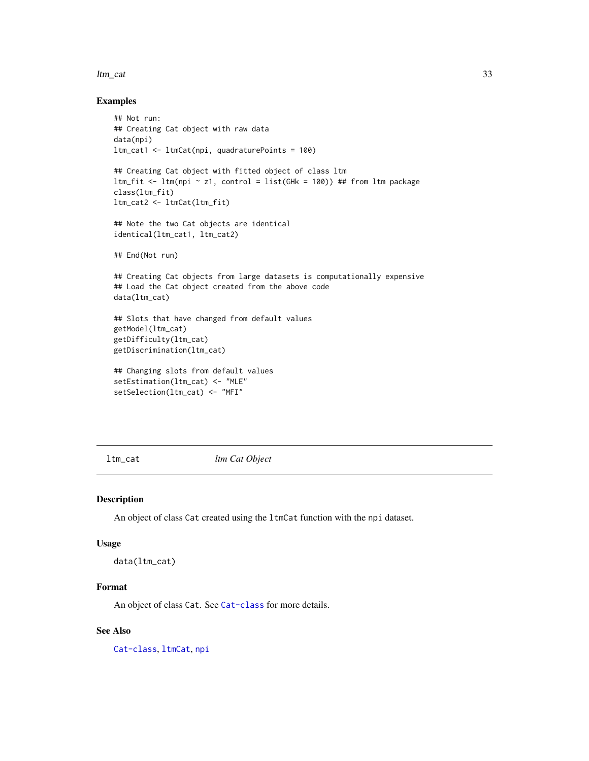#### <span id="page-32-0"></span>ltm\_cat 33

#### Examples

```
## Not run:
## Creating Cat object with raw data
data(npi)
ltm_cat1 <- ltmCat(npi, quadraturePoints = 100)
## Creating Cat object with fitted object of class ltm
ltm_fit <- ltm(npi ~ z1, control = list(GHk = 100)) ## from ltm package
class(ltm_fit)
ltm_cat2 <- ltmCat(ltm_fit)
## Note the two Cat objects are identical
identical(ltm_cat1, ltm_cat2)
## End(Not run)
## Creating Cat objects from large datasets is computationally expensive
## Load the Cat object created from the above code
data(ltm_cat)
## Slots that have changed from default values
getModel(ltm_cat)
getDifficulty(ltm_cat)
getDiscrimination(ltm_cat)
## Changing slots from default values
setEstimation(ltm_cat) <- "MLE"
setSelection(ltm_cat) <- "MFI"
```
ltm\_cat *ltm Cat Object*

#### Description

An object of class Cat created using the ltmCat function with the npi dataset.

#### Usage

```
data(ltm_cat)
```
### Format

An object of class Cat. See [Cat-class](#page-1-1) for more details.

### See Also

[Cat-class](#page-1-1), [ltmCat](#page-30-1), [npi](#page-35-1)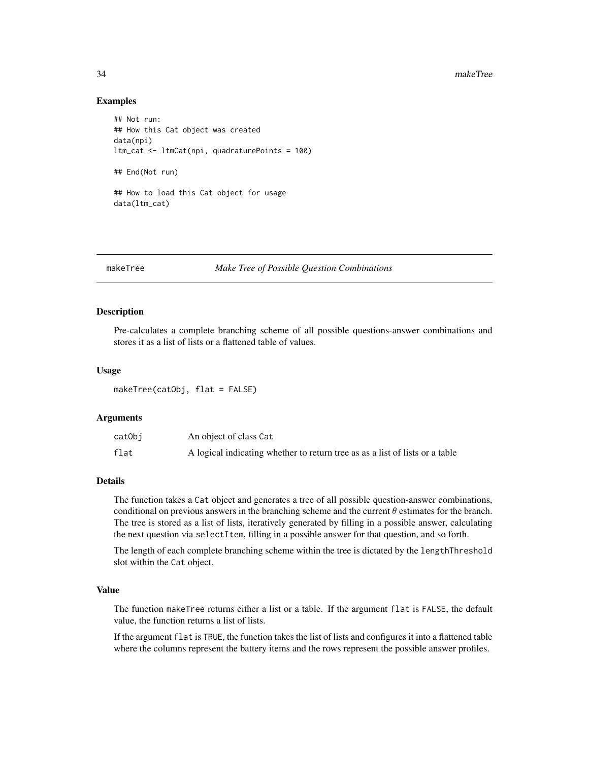#### Examples

```
## Not run:
## How this Cat object was created
data(npi)
ltm_cat <- ltmCat(npi, quadraturePoints = 100)
## End(Not run)
## How to load this Cat object for usage
data(ltm_cat)
```
#### makeTree *Make Tree of Possible Question Combinations*

#### Description

Pre-calculates a complete branching scheme of all possible questions-answer combinations and stores it as a list of lists or a flattened table of values.

#### Usage

makeTree(catObj, flat = FALSE)

#### Arguments

| catObi | An object of class Cat                                                       |
|--------|------------------------------------------------------------------------------|
| flat   | A logical indicating whether to return tree as as a list of lists or a table |

#### Details

The function takes a Cat object and generates a tree of all possible question-answer combinations, conditional on previous answers in the branching scheme and the current  $\theta$  estimates for the branch. The tree is stored as a list of lists, iteratively generated by filling in a possible answer, calculating the next question via selectItem, filling in a possible answer for that question, and so forth.

The length of each complete branching scheme within the tree is dictated by the lengthThreshold slot within the Cat object.

#### Value

The function makeTree returns either a list or a table. If the argument flat is FALSE, the default value, the function returns a list of lists.

If the argument flat is TRUE, the function takes the list of lists and configures it into a flattened table where the columns represent the battery items and the rows represent the possible answer profiles.

<span id="page-33-0"></span>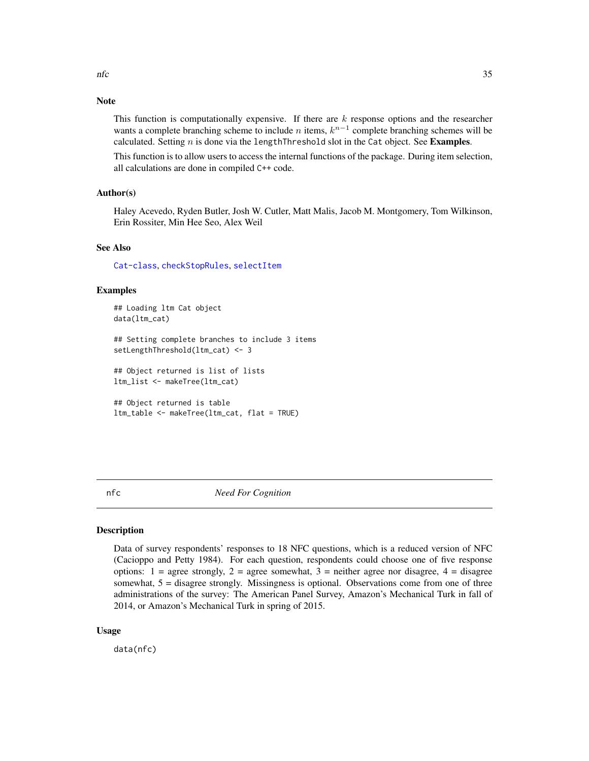### <span id="page-34-0"></span>Note

This function is computationally expensive. If there are  $k$  response options and the researcher wants a complete branching scheme to include *n* items,  $k^{n-1}$  complete branching schemes will be calculated. Setting  $n$  is done via the lengthThreshold slot in the Cat object. See Examples.

This function is to allow users to access the internal functions of the package. During item selection, all calculations are done in compiled C++ code.

### Author(s)

Haley Acevedo, Ryden Butler, Josh W. Cutler, Matt Malis, Jacob M. Montgomery, Tom Wilkinson, Erin Rossiter, Min Hee Seo, Alex Weil

### See Also

[Cat-class](#page-1-1), [checkStopRules](#page-3-1), [selectItem](#page-50-1)

#### Examples

```
## Loading ltm Cat object
data(ltm_cat)
## Setting complete branches to include 3 items
setLengthThreshold(ltm_cat) <- 3
## Object returned is list of lists
ltm_list <- makeTree(ltm_cat)
## Object returned is table
ltm_table <- makeTree(ltm_cat, flat = TRUE)
```
<span id="page-34-1"></span>

nfc *Need For Cognition*

#### Description

Data of survey respondents' responses to 18 NFC questions, which is a reduced version of NFC (Cacioppo and Petty 1984). For each question, respondents could choose one of five response options:  $1 = \text{agree strongly}, 2 = \text{agree somewhat}, 3 = \text{neither agree nor disagree}, 4 = \text{disagree}$ somewhat,  $5 =$  disagree strongly. Missingness is optional. Observations come from one of three administrations of the survey: The American Panel Survey, Amazon's Mechanical Turk in fall of 2014, or Amazon's Mechanical Turk in spring of 2015.

#### Usage

data(nfc)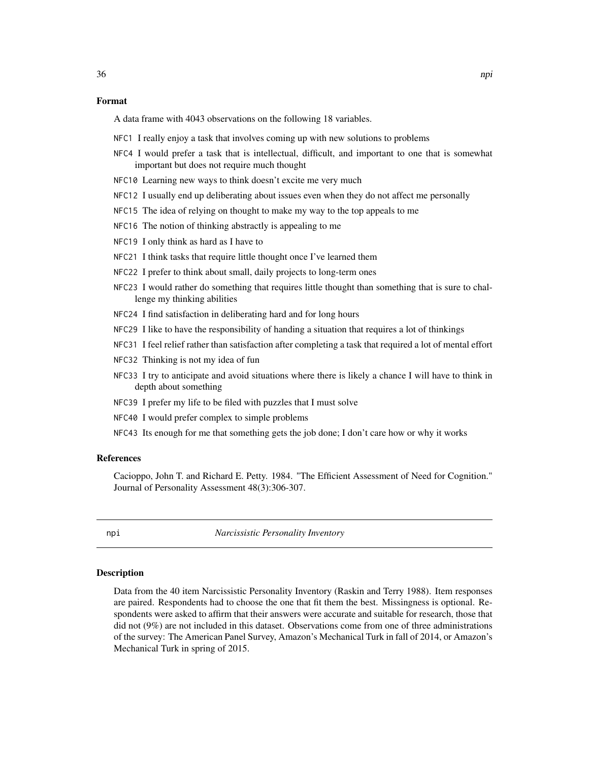#### <span id="page-35-0"></span>Format

A data frame with 4043 observations on the following 18 variables.

- NFC1 I really enjoy a task that involves coming up with new solutions to problems
- NFC4 I would prefer a task that is intellectual, difficult, and important to one that is somewhat important but does not require much thought
- NFC10 Learning new ways to think doesn't excite me very much
- NFC12 I usually end up deliberating about issues even when they do not affect me personally
- NFC15 The idea of relying on thought to make my way to the top appeals to me
- NFC16 The notion of thinking abstractly is appealing to me
- NFC19 I only think as hard as I have to
- NFC21 I think tasks that require little thought once I've learned them
- NFC22 I prefer to think about small, daily projects to long-term ones
- NFC23 I would rather do something that requires little thought than something that is sure to challenge my thinking abilities
- NFC24 I find satisfaction in deliberating hard and for long hours
- NFC29 I like to have the responsibility of handing a situation that requires a lot of thinkings
- NFC31 I feel relief rather than satisfaction after completing a task that required a lot of mental effort
- NFC32 Thinking is not my idea of fun
- NFC33 I try to anticipate and avoid situations where there is likely a chance I will have to think in depth about something
- NFC39 I prefer my life to be filed with puzzles that I must solve
- NFC40 I would prefer complex to simple problems
- NFC43 Its enough for me that something gets the job done; I don't care how or why it works

#### References

Cacioppo, John T. and Richard E. Petty. 1984. "The Efficient Assessment of Need for Cognition." Journal of Personality Assessment 48(3):306-307.

<span id="page-35-1"></span>npi *Narcissistic Personality Inventory*

#### Description

Data from the 40 item Narcissistic Personality Inventory (Raskin and Terry 1988). Item responses are paired. Respondents had to choose the one that fit them the best. Missingness is optional. Respondents were asked to affirm that their answers were accurate and suitable for research, those that did not (9%) are not included in this dataset. Observations come from one of three administrations of the survey: The American Panel Survey, Amazon's Mechanical Turk in fall of 2014, or Amazon's Mechanical Turk in spring of 2015.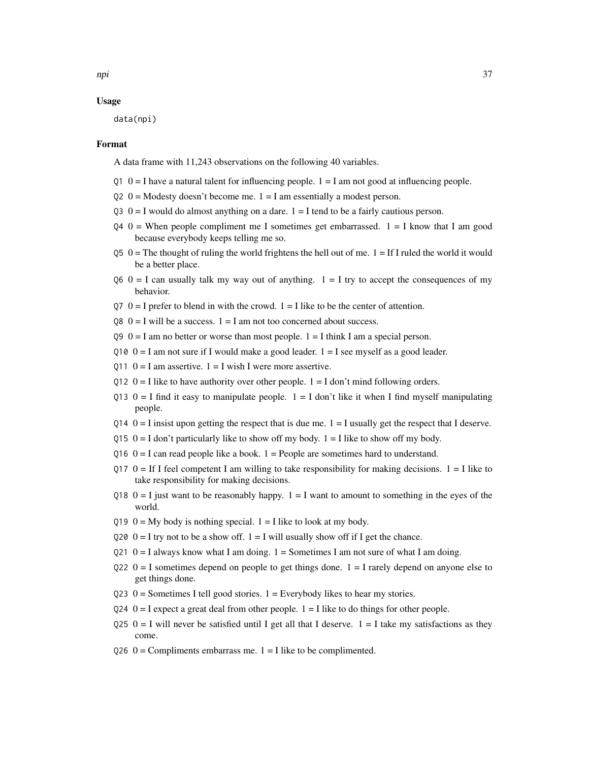### Usage

data(npi)

#### Format

A data frame with 11,243 observations on the following 40 variables.

- $Q1 \tO = I$  have a natural talent for influencing people.  $1 = I$  am not good at influencing people.
- $Q2 \t0 =$  Modesty doesn't become me.  $1 = I$  am essentially a modest person.
- Q3  $0 = I$  would do almost anything on a dare.  $1 = I$  tend to be a fairly cautious person.
- $Q4 \tQ =$  When people compliment me I sometimes get embarrassed.  $1 = I$  know that I am good because everybody keeps telling me so.
- $Q5$  0 = The thought of ruling the world frightens the hell out of me. 1 = If I ruled the world it would be a better place.
- $Q6 \tO = I$  can usually talk my way out of anything.  $1 = I$  try to accept the consequences of my behavior.
- $Q7 \t0 = I$  prefer to blend in with the crowd.  $1 = I$  like to be the center of attention.
- $Q8 \t 0 = I$  will be a success.  $1 = I$  am not too concerned about success.
- $Q9 \t O = I$  am no better or worse than most people.  $1 = I$  think I am a special person.
- $Q10$   $Q=$  I am not sure if I would make a good leader.  $1 =$  I see myself as a good leader.
- $Q11 \t0 = I$  am assertive.  $1 = I$  wish I were more assertive.
- $Q12 \tQ = I$  like to have authority over other people.  $1 = I$  don't mind following orders.
- $Q13 \t0 = I$  find it easy to manipulate people.  $1 = I$  don't like it when I find myself manipulating people.
- $Q14 \t O = I$  insist upon getting the respect that is due me.  $1 = I$  usually get the respect that I deserve.
- $Q15$   $0 = I$  don't particularly like to show off my body.  $1 = I$  like to show off my body.
- $Q16$   $Q = I$  can read people like a book.  $1 =$  People are sometimes hard to understand.
- $Q17 \t0 = If I$  feel competent I am willing to take responsibility for making decisions.  $1 = I$  like to take responsibility for making decisions.
- Q18  $0 = I$  just want to be reasonably happy.  $1 = I$  want to amount to something in the eyes of the world.
- Q19  $0 = My$  body is nothing special.  $1 = I$  like to look at my body.
- $Q20$   $Q = I$  try not to be a show off.  $1 = I$  will usually show off if I get the chance.
- $Q21 \t O = I$  always know what I am doing. 1 = Sometimes I am not sure of what I am doing.
- $Q22 \t0 = I$  sometimes depend on people to get things done.  $1 = I$  rarely depend on anyone else to get things done.
- $Q23$  0 = Sometimes I tell good stories. 1 = Everybody likes to hear my stories.
- $Q24 \text{ } 0 = I$  expect a great deal from other people.  $1 = I$  like to do things for other people.
- $Q25$   $Q = I$  will never be satisfied until I get all that I deserve.  $1 = I$  take my satisfactions as they come.
- $Q26$  0 = Compliments embarrass me. 1 = I like to be complimented.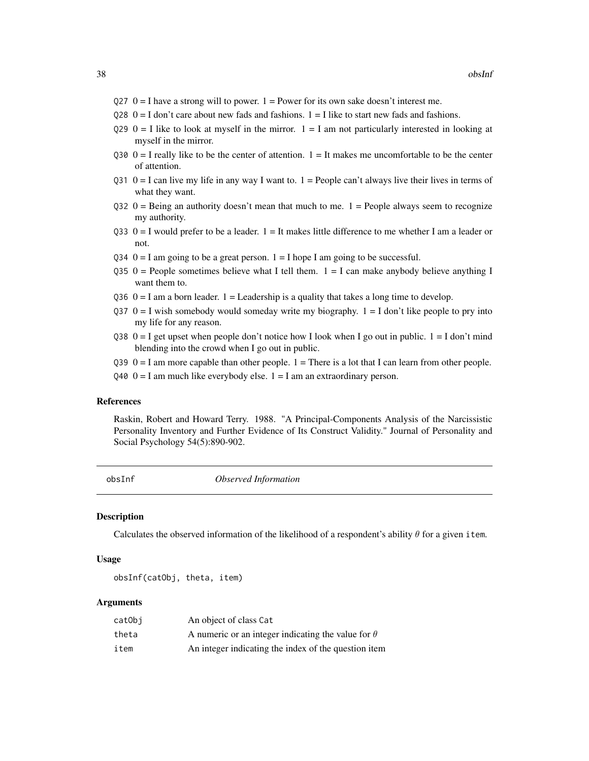- <span id="page-37-0"></span> $Q27$  0 = I have a strong will to power. 1 = Power for its own sake doesn't interest me.
- $Q28$   $Q=$  I don't care about new fads and fashions.  $1 =$  I like to start new fads and fashions.
- $Q29 \t0 = I$  like to look at myself in the mirror.  $1 = I$  am not particularly interested in looking at myself in the mirror.
- $Q30 \theta = I$  really like to be the center of attention.  $1 = It$  makes me uncomfortable to be the center of attention.
- $Q31 \t0 = I$  can live my life in any way I want to.  $1 =$  People can't always live their lives in terms of what they want.
- $Q32 \t0 =$  Being an authority doesn't mean that much to me.  $1 =$  People always seem to recognize my authority.
- Q33  $0 = I$  would prefer to be a leader.  $1 = It$  makes little difference to me whether I am a leader or not.
- $Q34$   $Q = I$  am going to be a great person.  $1 = I$  hope I am going to be successful.
- $Q35$  0 = People sometimes believe what I tell them.  $1 = I$  can make anybody believe anything I want them to.
- $Q36 \t0 = I$  am a born leader.  $1 =$  Leadership is a quality that takes a long time to develop.
- $Q37 \quad 0 = I$  wish somebody would someday write my biography.  $1 = I$  don't like people to pry into my life for any reason.
- Q38  $0 = I$  get upset when people don't notice how I look when I go out in public.  $1 = I$  don't mind blending into the crowd when I go out in public.
- $Q39 \t0 = I$  am more capable than other people.  $1 =$ There is a lot that I can learn from other people.
- $Q40 \t 0 = I$  am much like everybody else.  $1 = I$  am an extraordinary person.

### References

Raskin, Robert and Howard Terry. 1988. "A Principal-Components Analysis of the Narcissistic Personality Inventory and Further Evidence of Its Construct Validity." Journal of Personality and Social Psychology 54(5):890-902.

<span id="page-37-1"></span>obsInf *Observed Information*

#### Description

Calculates the observed information of the likelihood of a respondent's ability  $\theta$  for a given item.

#### Usage

```
obsInf(catObj, theta, item)
```
#### Arguments

| catObi | An object of class Cat                                    |
|--------|-----------------------------------------------------------|
| theta  | A numeric or an integer indicating the value for $\theta$ |
| item   | An integer indicating the index of the question item      |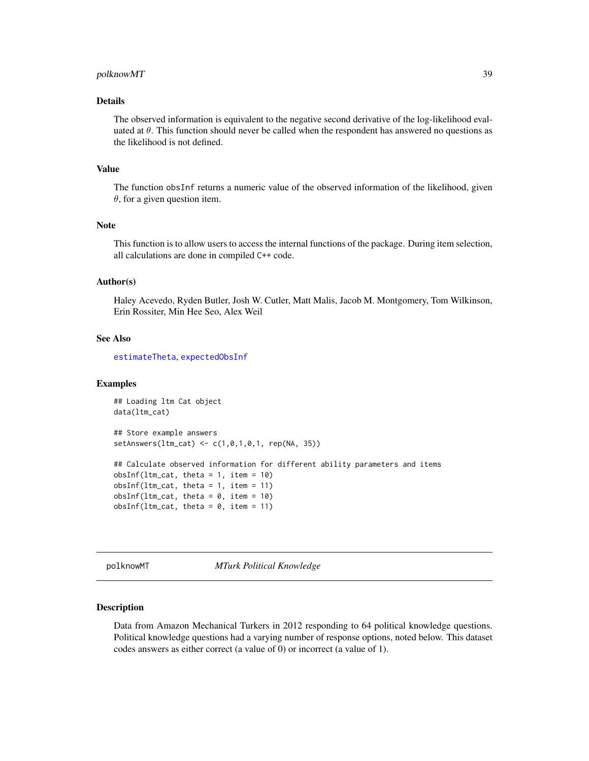### <span id="page-38-0"></span>polknowMT 39

### Details

The observed information is equivalent to the negative second derivative of the log-likelihood evaluated at  $\theta$ . This function should never be called when the respondent has answered no questions as the likelihood is not defined.

### Value

The function obsInf returns a numeric value of the observed information of the likelihood, given  $\theta$ , for a given question item.

#### Note

This function is to allow users to access the internal functions of the package. During item selection, all calculations are done in compiled C++ code.

### Author(s)

Haley Acevedo, Ryden Butler, Josh W. Cutler, Matt Malis, Jacob M. Montgomery, Tom Wilkinson, Erin Rossiter, Min Hee Seo, Alex Weil

### See Also

[estimateTheta](#page-10-1), [expectedObsInf](#page-14-1)

### Examples

```
## Loading ltm Cat object
data(ltm_cat)
## Store example answers
setAnswers(ltm_cat) <- c(1,0,1,0,1, rep(NA, 35))
## Calculate observed information for different ability parameters and items
obsInf(ltm\_cat, theta = 1, item = 10)obsInf(ltm\_cat, theta = 1, item = 11)obsInf(ltm\_cat, theta = 0, item = 10)obsInf(ltm_ccat, theta = 0, item = 11)
```
<span id="page-38-1"></span>polknowMT *MTurk Political Knowledge*

#### Description

Data from Amazon Mechanical Turkers in 2012 responding to 64 political knowledge questions. Political knowledge questions had a varying number of response options, noted below. This dataset codes answers as either correct (a value of 0) or incorrect (a value of 1).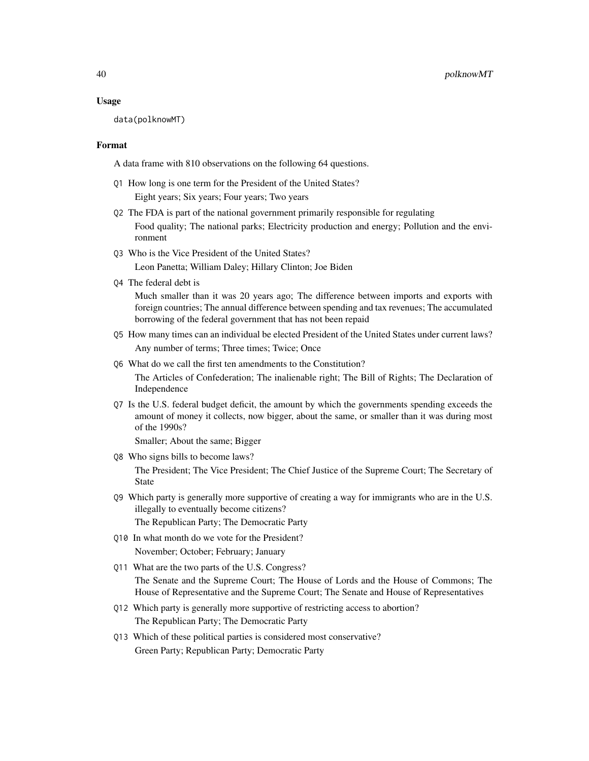#### Usage

data(polknowMT)

### Format

A data frame with 810 observations on the following 64 questions.

- Q1 How long is one term for the President of the United States? Eight years; Six years; Four years; Two years
- Q2 The FDA is part of the national government primarily responsible for regulating Food quality; The national parks; Electricity production and energy; Pollution and the environment
- Q3 Who is the Vice President of the United States? Leon Panetta; William Daley; Hillary Clinton; Joe Biden
- Q4 The federal debt is

Much smaller than it was 20 years ago; The difference between imports and exports with foreign countries; The annual difference between spending and tax revenues; The accumulated borrowing of the federal government that has not been repaid

- Q5 How many times can an individual be elected President of the United States under current laws? Any number of terms; Three times; Twice; Once
- Q6 What do we call the first ten amendments to the Constitution?

The Articles of Confederation; The inalienable right; The Bill of Rights; The Declaration of Independence

Q7 Is the U.S. federal budget deficit, the amount by which the governments spending exceeds the amount of money it collects, now bigger, about the same, or smaller than it was during most of the 1990s?

Smaller; About the same; Bigger

- Q8 Who signs bills to become laws? The President; The Vice President; The Chief Justice of the Supreme Court; The Secretary of State
- Q9 Which party is generally more supportive of creating a way for immigrants who are in the U.S. illegally to eventually become citizens? The Republican Party; The Democratic Party
- Q10 In what month do we vote for the President? November; October; February; January
- Q11 What are the two parts of the U.S. Congress? The Senate and the Supreme Court; The House of Lords and the House of Commons; The House of Representative and the Supreme Court; The Senate and House of Representatives
- Q12 Which party is generally more supportive of restricting access to abortion? The Republican Party; The Democratic Party
- Q13 Which of these political parties is considered most conservative? Green Party; Republican Party; Democratic Party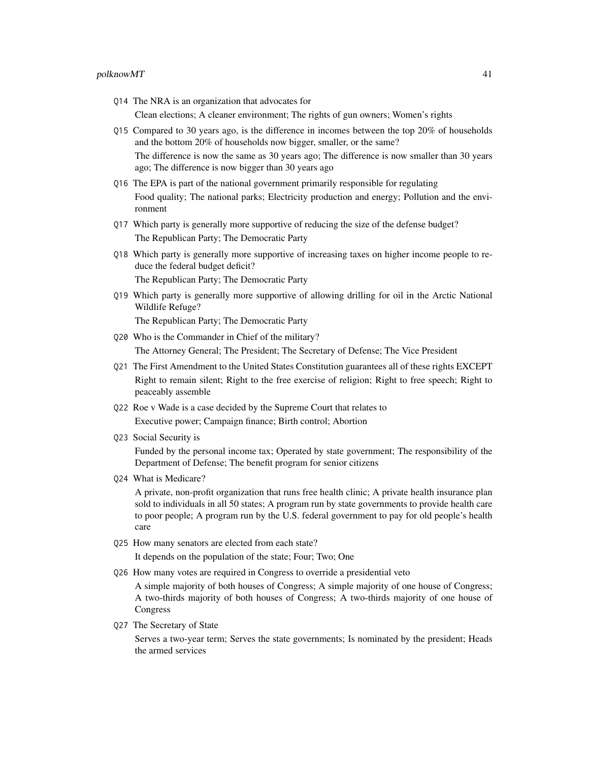#### polknowMT 41

- Q14 The NRA is an organization that advocates for Clean elections; A cleaner environment; The rights of gun owners; Women's rights
- Q15 Compared to 30 years ago, is the difference in incomes between the top 20% of households and the bottom 20% of households now bigger, smaller, or the same? The difference is now the same as 30 years ago; The difference is now smaller than 30 years ago; The difference is now bigger than 30 years ago
- Q16 The EPA is part of the national government primarily responsible for regulating Food quality; The national parks; Electricity production and energy; Pollution and the environment
- Q17 Which party is generally more supportive of reducing the size of the defense budget? The Republican Party; The Democratic Party
- Q18 Which party is generally more supportive of increasing taxes on higher income people to reduce the federal budget deficit? The Republican Party; The Democratic Party
- Q19 Which party is generally more supportive of allowing drilling for oil in the Arctic National Wildlife Refuge?

The Republican Party; The Democratic Party

- Q20 Who is the Commander in Chief of the military? The Attorney General; The President; The Secretary of Defense; The Vice President
- Q21 The First Amendment to the United States Constitution guarantees all of these rights EXCEPT Right to remain silent; Right to the free exercise of religion; Right to free speech; Right to peaceably assemble
- Q22 Roe v Wade is a case decided by the Supreme Court that relates to Executive power; Campaign finance; Birth control; Abortion
- Q23 Social Security is

Funded by the personal income tax; Operated by state government; The responsibility of the Department of Defense; The benefit program for senior citizens

Q24 What is Medicare?

A private, non-profit organization that runs free health clinic; A private health insurance plan sold to individuals in all 50 states; A program run by state governments to provide health care to poor people; A program run by the U.S. federal government to pay for old people's health care

Q25 How many senators are elected from each state?

It depends on the population of the state; Four; Two; One

Q26 How many votes are required in Congress to override a presidential veto

A simple majority of both houses of Congress; A simple majority of one house of Congress; A two-thirds majority of both houses of Congress; A two-thirds majority of one house of Congress

Q27 The Secretary of State

Serves a two-year term; Serves the state governments; Is nominated by the president; Heads the armed services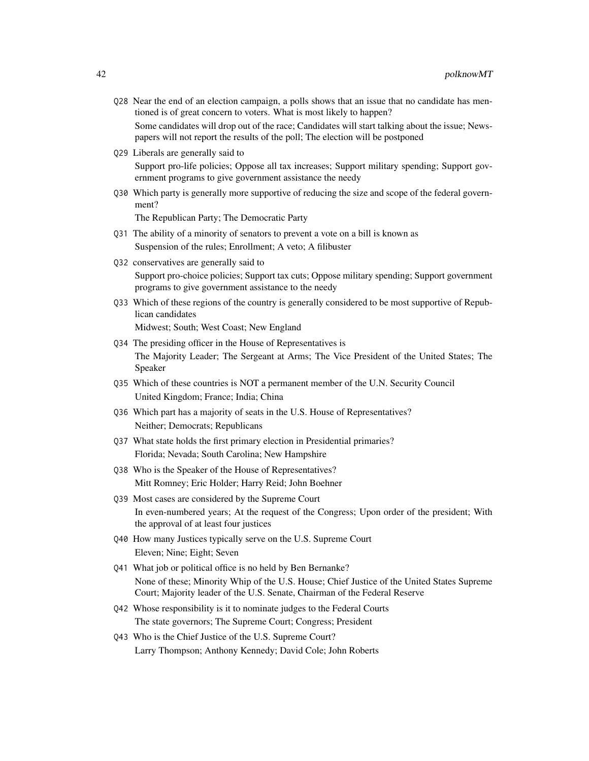Q28 Near the end of an election campaign, a polls shows that an issue that no candidate has mentioned is of great concern to voters. What is most likely to happen? Some candidates will drop out of the race; Candidates will start talking about the issue; News-

papers will not report the results of the poll; The election will be postponed

Q29 Liberals are generally said to

Support pro-life policies; Oppose all tax increases; Support military spending; Support government programs to give government assistance the needy

Q30 Which party is generally more supportive of reducing the size and scope of the federal government?

The Republican Party; The Democratic Party

- Q31 The ability of a minority of senators to prevent a vote on a bill is known as Suspension of the rules; Enrollment; A veto; A filibuster
- Q32 conservatives are generally said to

Support pro-choice policies; Support tax cuts; Oppose military spending; Support government programs to give government assistance to the needy

Q33 Which of these regions of the country is generally considered to be most supportive of Republican candidates

Midwest; South; West Coast; New England

- Q34 The presiding officer in the House of Representatives is The Majority Leader; The Sergeant at Arms; The Vice President of the United States; The Speaker
- Q35 Which of these countries is NOT a permanent member of the U.N. Security Council United Kingdom; France; India; China
- Q36 Which part has a majority of seats in the U.S. House of Representatives? Neither; Democrats; Republicans
- Q37 What state holds the first primary election in Presidential primaries? Florida; Nevada; South Carolina; New Hampshire
- Q38 Who is the Speaker of the House of Representatives? Mitt Romney; Eric Holder; Harry Reid; John Boehner
- Q39 Most cases are considered by the Supreme Court In even-numbered years; At the request of the Congress; Upon order of the president; With the approval of at least four justices
- Q40 How many Justices typically serve on the U.S. Supreme Court Eleven; Nine; Eight; Seven
- Q41 What job or political office is no held by Ben Bernanke? None of these; Minority Whip of the U.S. House; Chief Justice of the United States Supreme Court; Majority leader of the U.S. Senate, Chairman of the Federal Reserve
- Q42 Whose responsibility is it to nominate judges to the Federal Courts The state governors; The Supreme Court; Congress; President
- Q43 Who is the Chief Justice of the U.S. Supreme Court? Larry Thompson; Anthony Kennedy; David Cole; John Roberts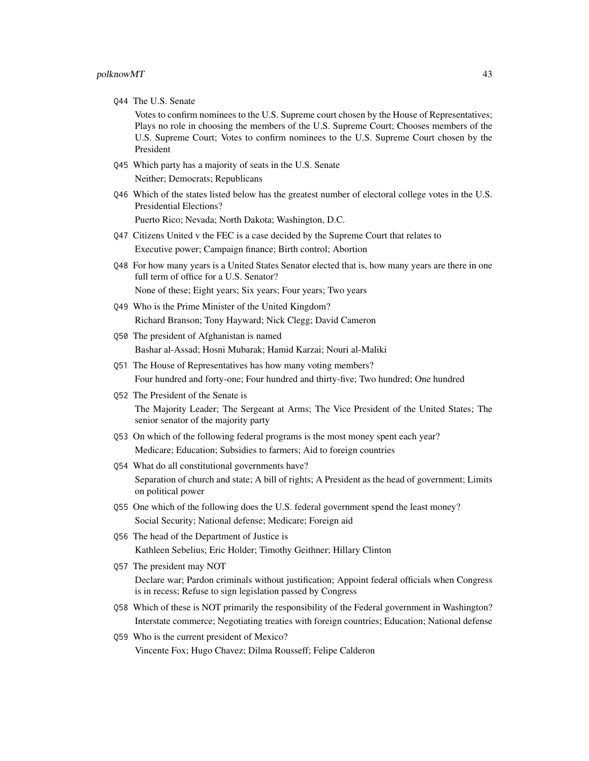Q44 The U.S. Senate

Votes to confirm nominees to the U.S. Supreme court chosen by the House of Representatives; Plays no role in choosing the members of the U.S. Supreme Court; Chooses members of the U.S. Supreme Court; Votes to confirm nominees to the U.S. Supreme Court chosen by the President

- Q45 Which party has a majority of seats in the U.S. Senate Neither; Democrats; Republicans
- Q46 Which of the states listed below has the greatest number of electoral college votes in the U.S. Presidential Elections?

Puerto Rico; Nevada; North Dakota; Washington, D.C.

- Q47 Citizens United v the FEC is a case decided by the Supreme Court that relates to Executive power; Campaign finance; Birth control; Abortion
- Q48 For how many years is a United States Senator elected that is, how many years are there in one full term of office for a U.S. Senator? None of these; Eight years; Six years; Four years; Two years
- Q49 Who is the Prime Minister of the United Kingdom? Richard Branson; Tony Hayward; Nick Clegg; David Cameron
- Q50 The president of Afghanistan is named Bashar al-Assad; Hosni Mubarak; Hamid Karzai; Nouri al-Maliki
- Q51 The House of Representatives has how many voting members? Four hundred and forty-one; Four hundred and thirty-five; Two hundred; One hundred
- Q52 The President of the Senate is The Majority Leader; The Sergeant at Arms; The Vice President of the United States; The senior senator of the majority party
- Q53 On which of the following federal programs is the most money spent each year? Medicare; Education; Subsidies to farmers; Aid to foreign countries
- Q54 What do all constitutional governments have? Separation of church and state; A bill of rights; A President as the head of government; Limits on political power
- Q55 One which of the following does the U.S. federal government spend the least money? Social Security; National defense; Medicare; Foreign aid
- Q56 The head of the Department of Justice is Kathleen Sebelius; Eric Holder; Timothy Geithner; Hillary Clinton
- Q57 The president may NOT Declare war; Pardon criminals without justification; Appoint federal officials when Congress is in recess; Refuse to sign legislation passed by Congress
- Q58 Which of these is NOT primarily the responsibility of the Federal government in Washington? Interstate commerce; Negotiating treaties with foreign countries; Education; National defense
- Q59 Who is the current president of Mexico? Vincente Fox; Hugo Chavez; Dilma Rousseff; Felipe Calderon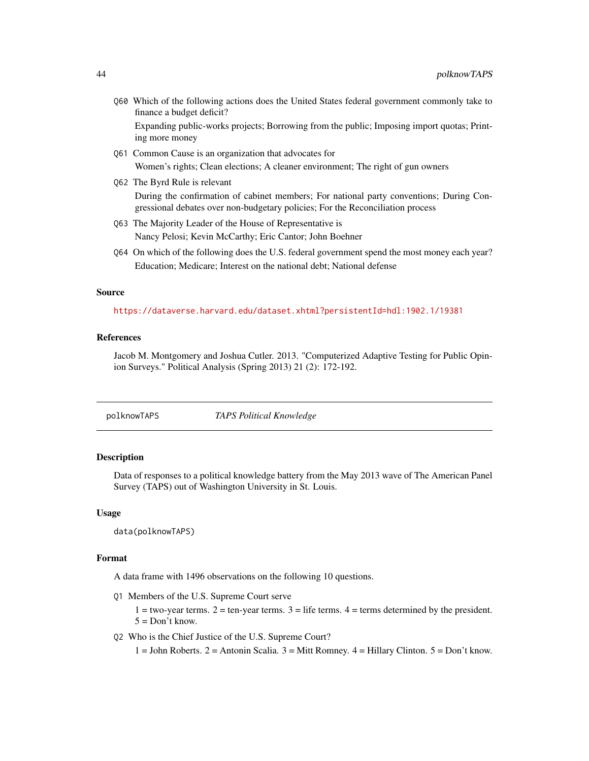<span id="page-43-0"></span>Q60 Which of the following actions does the United States federal government commonly take to finance a budget deficit?

Expanding public-works projects; Borrowing from the public; Imposing import quotas; Printing more money

- Q61 Common Cause is an organization that advocates for Women's rights; Clean elections; A cleaner environment; The right of gun owners
- Q62 The Byrd Rule is relevant During the confirmation of cabinet members; For national party conventions; During Congressional debates over non-budgetary policies; For the Reconciliation process
- Q63 The Majority Leader of the House of Representative is Nancy Pelosi; Kevin McCarthy; Eric Cantor; John Boehner
- Q64 On which of the following does the U.S. federal government spend the most money each year? Education; Medicare; Interest on the national debt; National defense

#### Source

<https://dataverse.harvard.edu/dataset.xhtml?persistentId=hdl:1902.1/19381>

### References

Jacob M. Montgomery and Joshua Cutler. 2013. "Computerized Adaptive Testing for Public Opinion Surveys." Political Analysis (Spring 2013) 21 (2): 172-192.

<span id="page-43-1"></span>

### Description

Data of responses to a political knowledge battery from the May 2013 wave of The American Panel Survey (TAPS) out of Washington University in St. Louis.

#### Usage

data(polknowTAPS)

#### Format

A data frame with 1496 observations on the following 10 questions.

Q1 Members of the U.S. Supreme Court serve

 $1 = two-year terms. 2 = ten-year terms. 3 = life terms. 4 = terms determined by the president.$  $5 = Don't know.$ 

Q2 Who is the Chief Justice of the U.S. Supreme Court?

1 = John Roberts. 2 = Antonin Scalia. 3 = Mitt Romney. 4 = Hillary Clinton. 5 = Don't know.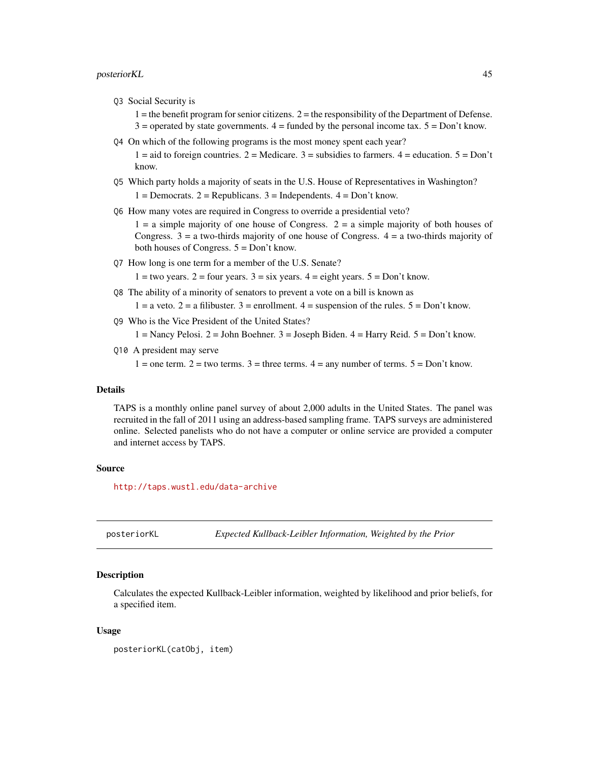#### <span id="page-44-0"></span>posteriorKL 45

Q3 Social Security is

 $1 =$  the benefit program for senior citizens.  $2 =$  the responsibility of the Department of Defense.  $3 =$  operated by state governments.  $4 =$  funded by the personal income tax.  $5 =$  Don't know.

Q4 On which of the following programs is the most money spent each year?

 $1 =$  aid to foreign countries.  $2 =$  Medicare.  $3 =$  subsidies to farmers.  $4 =$  education.  $5 =$  Don't know.

- Q5 Which party holds a majority of seats in the U.S. House of Representatives in Washington?  $1 =$  Democrats.  $2 =$  Republicans.  $3 =$  Independents.  $4 =$  Don't know.
- Q6 How many votes are required in Congress to override a presidential veto?

 $1 = a$  simple majority of one house of Congress.  $2 = a$  simple majority of both houses of Congress.  $3 = a$  two-thirds majority of one house of Congress.  $4 = a$  two-thirds majority of both houses of Congress.  $5 = Don't know$ .

Q7 How long is one term for a member of the U.S. Senate?

 $1 = two years.$  2 = four years. 3 = six years. 4 = eight years. 5 = Don't know.

Q8 The ability of a minority of senators to prevent a vote on a bill is known as

 $1 = a$  veto.  $2 = a$  filibuster.  $3 = \text{enrollment}$ .  $4 = \text{supension of the rules}$ .  $5 = \text{Don't know}$ .

Q9 Who is the Vice President of the United States?

 $1 =$  Nancy Pelosi.  $2 =$  John Boehner.  $3 =$  Joseph Biden.  $4 =$  Harry Reid.  $5 =$  Don't know.

Q10 A president may serve

1 = one term.  $2 =$  two terms. 3 = three terms.  $4 =$  any number of terms.  $5 =$  Don't know.

#### Details

TAPS is a monthly online panel survey of about 2,000 adults in the United States. The panel was recruited in the fall of 2011 using an address-based sampling frame. TAPS surveys are administered online. Selected panelists who do not have a computer or online service are provided a computer and internet access by TAPS.

#### Source

<http://taps.wustl.edu/data-archive>

<span id="page-44-1"></span>posteriorKL *Expected Kullback-Leibler Information, Weighted by the Prior*

#### Description

Calculates the expected Kullback-Leibler information, weighted by likelihood and prior beliefs, for a specified item.

#### Usage

posteriorKL(catObj, item)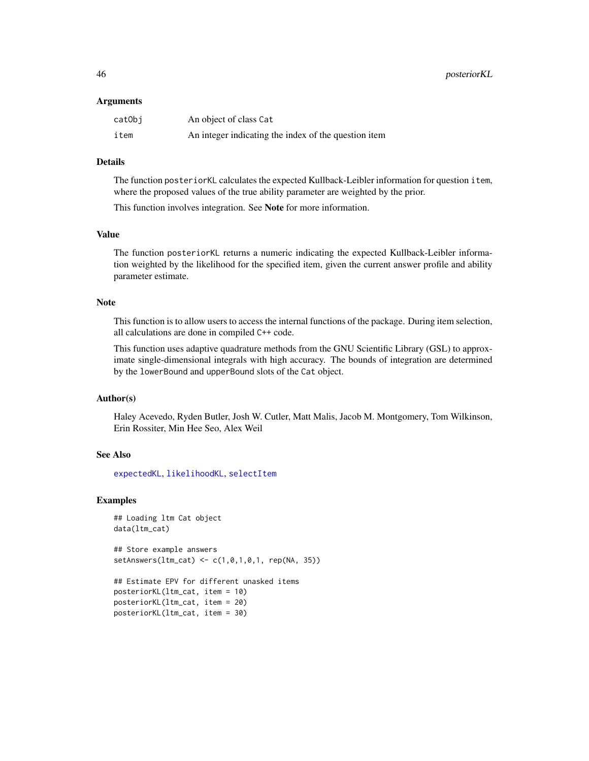#### <span id="page-45-0"></span>Arguments

| catObi | An object of class Cat                               |
|--------|------------------------------------------------------|
| item   | An integer indicating the index of the question item |

#### Details

The function posteriorKL calculates the expected Kullback-Leibler information for question item, where the proposed values of the true ability parameter are weighted by the prior.

This function involves integration. See **Note** for more information.

### Value

The function posteriorKL returns a numeric indicating the expected Kullback-Leibler information weighted by the likelihood for the specified item, given the current answer profile and ability parameter estimate.

### Note

This function is to allow users to access the internal functions of the package. During item selection, all calculations are done in compiled C++ code.

This function uses adaptive quadrature methods from the GNU Scientific Library (GSL) to approximate single-dimensional integrals with high accuracy. The bounds of integration are determined by the lowerBound and upperBound slots of the Cat object.

#### Author(s)

Haley Acevedo, Ryden Butler, Josh W. Cutler, Matt Malis, Jacob M. Montgomery, Tom Wilkinson, Erin Rossiter, Min Hee Seo, Alex Weil

### See Also

[expectedKL](#page-13-1), [likelihoodKL](#page-28-1), [selectItem](#page-50-1)

#### Examples

```
## Loading ltm Cat object
data(ltm_cat)
```
## Store example answers setAnswers(ltm\_cat) <- c(1,0,1,0,1, rep(NA, 35))

```
## Estimate EPV for different unasked items
posteriorKL(ltm_cat, item = 10)
posteriorKL(ltm_cat, item = 20)
posteriorKL(ltm_cat, item = 30)
```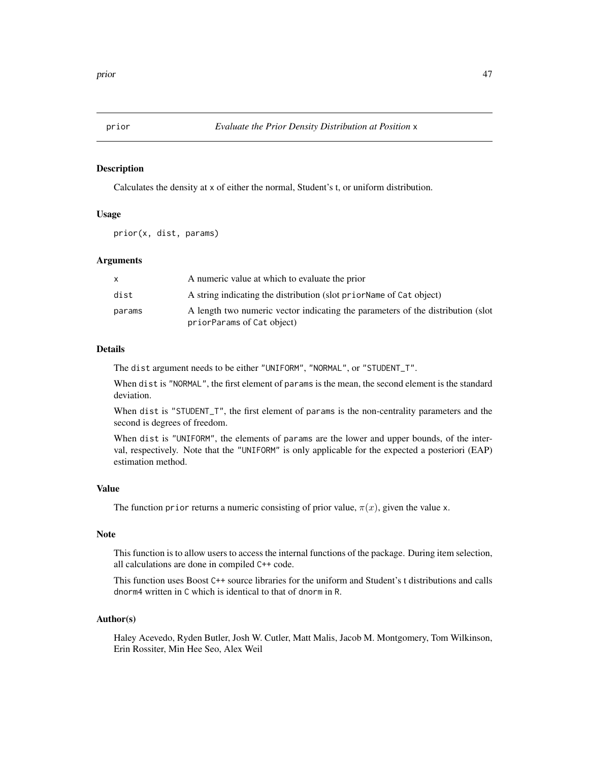<span id="page-46-1"></span><span id="page-46-0"></span>

### Description

Calculates the density at x of either the normal, Student's t, or uniform distribution.

### Usage

prior(x, dist, params)

#### **Arguments**

|        | A numeric value at which to evaluate the prior                                  |
|--------|---------------------------------------------------------------------------------|
| dist   | A string indicating the distribution (slot priorName of Cat object)             |
| params | A length two numeric vector indicating the parameters of the distribution (slot |
|        | priorParams of Cat object)                                                      |

### Details

The dist argument needs to be either "UNIFORM", "NORMAL", or "STUDENT\_T".

When dist is "NORMAL", the first element of params is the mean, the second element is the standard deviation.

When dist is "STUDENT\_T", the first element of params is the non-centrality parameters and the second is degrees of freedom.

When dist is "UNIFORM", the elements of params are the lower and upper bounds, of the interval, respectively. Note that the "UNIFORM" is only applicable for the expected a posteriori (EAP) estimation method.

#### Value

The function prior returns a numeric consisting of prior value,  $\pi(x)$ , given the value x.

### Note

This function is to allow users to access the internal functions of the package. During item selection, all calculations are done in compiled C++ code.

This function uses Boost C++ source libraries for the uniform and Student's t distributions and calls dnorm4 written in C which is identical to that of dnorm in R.

#### Author(s)

Haley Acevedo, Ryden Butler, Josh W. Cutler, Matt Malis, Jacob M. Montgomery, Tom Wilkinson, Erin Rossiter, Min Hee Seo, Alex Weil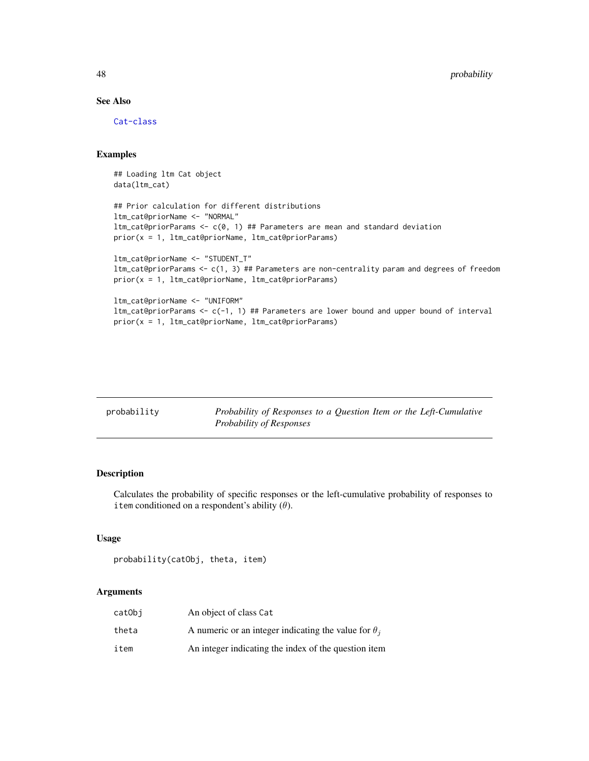### See Also

[Cat-class](#page-1-1)

### Examples

```
## Loading ltm Cat object
data(ltm_cat)
## Prior calculation for different distributions
ltm_cat@priorName <- "NORMAL"
ltm_cat@priorParams <- c(0, 1) ## Parameters are mean and standard deviation
prior(x = 1, ltm_cat@priorName, ltm_cat@priorParams)
ltm_cat@priorName <- "STUDENT_T"
ltm_cat@priorParams <- c(1, 3) ## Parameters are non-centrality param and degrees of freedom
prior(x = 1, ltm_cat@priorName, ltm_cat@priorParams)
ltm_cat@priorName <- "UNIFORM"
ltm_cat@priorParams <- c(-1, 1) ## Parameters are lower bound and upper bound of interval
prior(x = 1, ltm_cat@priorName, ltm_cat@priorParams)
```
<span id="page-47-1"></span>

| probability | Probability of Responses to a Question Item or the Left-Cumulative |
|-------------|--------------------------------------------------------------------|
|             | Probability of Responses                                           |

### Description

Calculates the probability of specific responses or the left-cumulative probability of responses to item conditioned on a respondent's ability  $(\theta)$ .

### Usage

```
probability(catObj, theta, item)
```
### Arguments

| catObi | An object of class Cat                                      |
|--------|-------------------------------------------------------------|
| theta  | A numeric or an integer indicating the value for $\theta_i$ |
| item   | An integer indicating the index of the question item        |

<span id="page-47-0"></span>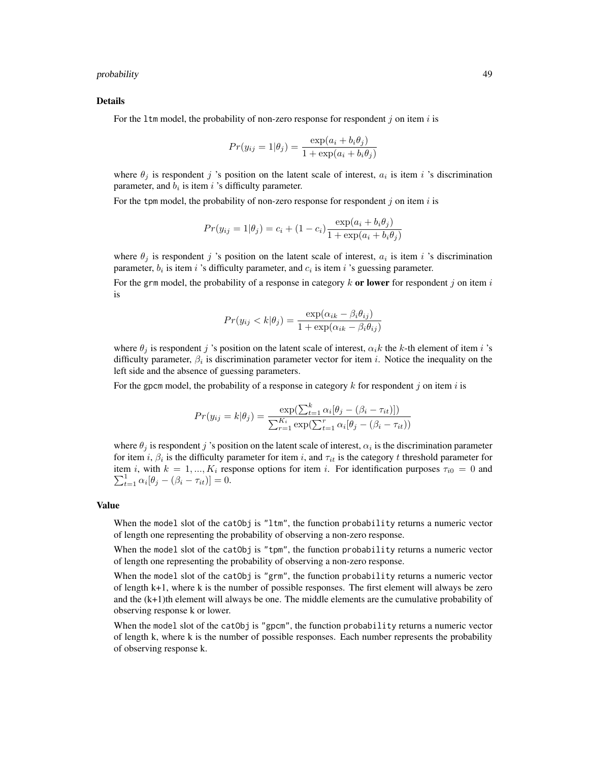#### probability 49

#### Details

For the 1tm model, the probability of non-zero response for respondent j on item i is

$$
Pr(y_{ij} = 1 | \theta_j) = \frac{\exp(a_i + b_i \theta_j)}{1 + \exp(a_i + b_i \theta_j)}
$$

where  $\theta_j$  is respondent j 's position on the latent scale of interest,  $a_i$  is item i 's discrimination parameter, and  $b_i$  is item i 's difficulty parameter.

For the tpm model, the probability of non-zero response for respondent  $j$  on item  $i$  is

$$
Pr(y_{ij} = 1 | \theta_j) = c_i + (1 - c_i) \frac{\exp(a_i + b_i \theta_j)}{1 + \exp(a_i + b_i \theta_j)}
$$

where  $\theta_j$  is respondent j 's position on the latent scale of interest,  $a_i$  is item i 's discrimination parameter,  $b_i$  is item i 's difficulty parameter, and  $c_i$  is item i 's guessing parameter.

For the grm model, the probability of a response in category k or lower for respondent j on item i is

$$
Pr(y_{ij} < k | \theta_j) = \frac{\exp(\alpha_{ik} - \beta_i \theta_{ij})}{1 + \exp(\alpha_{ik} - \beta_i \theta_{ij})}
$$

where  $\theta_j$  is respondent j 's position on the latent scale of interest,  $\alpha_i k$  the k-th element of item i 's difficulty parameter,  $\beta_i$  is discrimination parameter vector for item i. Notice the inequality on the left side and the absence of guessing parameters.

For the gpcm model, the probability of a response in category  $k$  for respondent j on item i is

$$
Pr(y_{ij} = k | \theta_j) = \frac{\exp(\sum_{t=1}^{k} \alpha_i [\theta_j - (\beta_i - \tau_{it})])}{\sum_{r=1}^{K_i} \exp(\sum_{t=1}^{r} \alpha_i [\theta_j - (\beta_i - \tau_{it}))}
$$

where  $\theta_j$  is respondent j 's position on the latent scale of interest,  $\alpha_i$  is the discrimination parameter for item i,  $\beta_i$  is the difficulty parameter for item i, and  $\tau_{it}$  is the category t threshold parameter for item i, with  $k = 1, ..., K_i$  response options for item i. For identification purposes  $\tau_{i0} = 0$  and  $\sum_{t=1}^{1} \alpha_i [\theta_j - (\beta_i - \tau_{it})] = 0.$ 

#### Value

When the model slot of the catObj is "ltm", the function probability returns a numeric vector of length one representing the probability of observing a non-zero response.

When the model slot of the catObj is "tpm", the function probability returns a numeric vector of length one representing the probability of observing a non-zero response.

When the model slot of the catObj is "grm", the function probability returns a numeric vector of length k+1, where k is the number of possible responses. The first element will always be zero and the (k+1)th element will always be one. The middle elements are the cumulative probability of observing response k or lower.

When the model slot of the catObj is "gpcm", the function probability returns a numeric vector of length k, where k is the number of possible responses. Each number represents the probability of observing response k.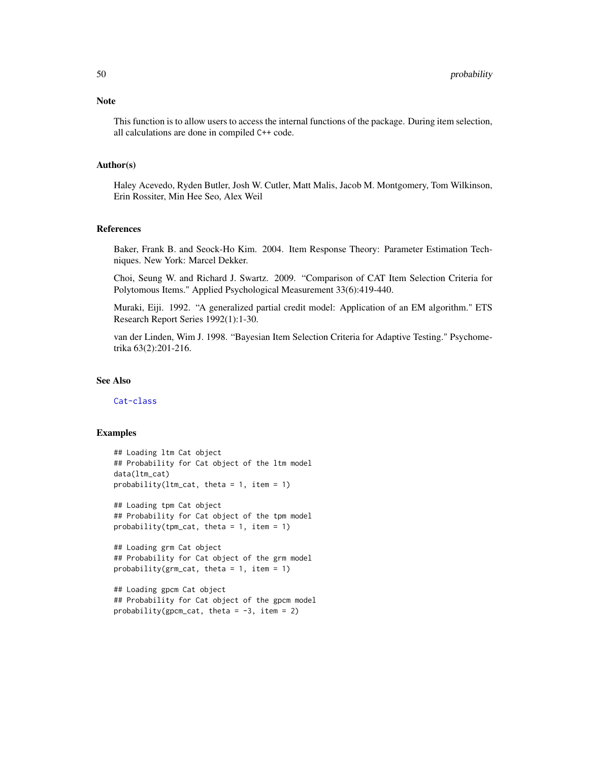### Note

This function is to allow users to access the internal functions of the package. During item selection, all calculations are done in compiled C++ code.

#### Author(s)

Haley Acevedo, Ryden Butler, Josh W. Cutler, Matt Malis, Jacob M. Montgomery, Tom Wilkinson, Erin Rossiter, Min Hee Seo, Alex Weil

### References

Baker, Frank B. and Seock-Ho Kim. 2004. Item Response Theory: Parameter Estimation Techniques. New York: Marcel Dekker.

Choi, Seung W. and Richard J. Swartz. 2009. "Comparison of CAT Item Selection Criteria for Polytomous Items." Applied Psychological Measurement 33(6):419-440.

Muraki, Eiji. 1992. "A generalized partial credit model: Application of an EM algorithm." ETS Research Report Series 1992(1):1-30.

van der Linden, Wim J. 1998. "Bayesian Item Selection Criteria for Adaptive Testing." Psychometrika 63(2):201-216.

### See Also

#### [Cat-class](#page-1-1)

### Examples

```
## Loading ltm Cat object
## Probability for Cat object of the ltm model
data(ltm_cat)
probability(ltm\_cat, theta = 1, item = 1)
```

```
## Loading tpm Cat object
## Probability for Cat object of the tpm model
probability(tpm_cat, theta = 1, item = 1)
```

```
## Loading grm Cat object
## Probability for Cat object of the grm model
probability(grm_{cat}, theta = 1, item = 1)
```

```
## Loading gpcm Cat object
## Probability for Cat object of the gpcm model
probability(gpcm_cat, theta = -3, item = 2)
```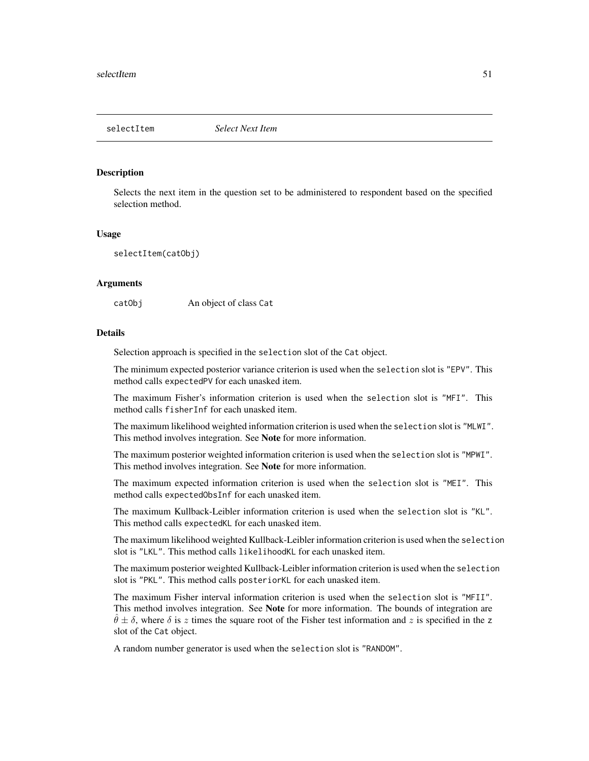<span id="page-50-1"></span><span id="page-50-0"></span>

#### **Description**

Selects the next item in the question set to be administered to respondent based on the specified selection method.

#### Usage

selectItem(catObj)

#### Arguments

catObj An object of class Cat

### Details

Selection approach is specified in the selection slot of the Cat object.

The minimum expected posterior variance criterion is used when the selection slot is "EPV". This method calls expectedPV for each unasked item.

The maximum Fisher's information criterion is used when the selection slot is "MFI". This method calls fisherInf for each unasked item.

The maximum likelihood weighted information criterion is used when the selection slot is "MLWI". This method involves integration. See Note for more information.

The maximum posterior weighted information criterion is used when the selection slot is "MPWI". This method involves integration. See Note for more information.

The maximum expected information criterion is used when the selection slot is "MEI". This method calls expectedObsInf for each unasked item.

The maximum Kullback-Leibler information criterion is used when the selection slot is "KL". This method calls expectedKL for each unasked item.

The maximum likelihood weighted Kullback-Leibler information criterion is used when the selection slot is "LKL". This method calls likelihoodKL for each unasked item.

The maximum posterior weighted Kullback-Leibler information criterion is used when the selection slot is "PKL". This method calls posteriorKL for each unasked item.

The maximum Fisher interval information criterion is used when the selection slot is "MFII". This method involves integration. See **Note** for more information. The bounds of integration are  $\theta \pm \delta$ , where  $\delta$  is z times the square root of the Fisher test information and z is specified in the z slot of the Cat object.

A random number generator is used when the selection slot is "RANDOM".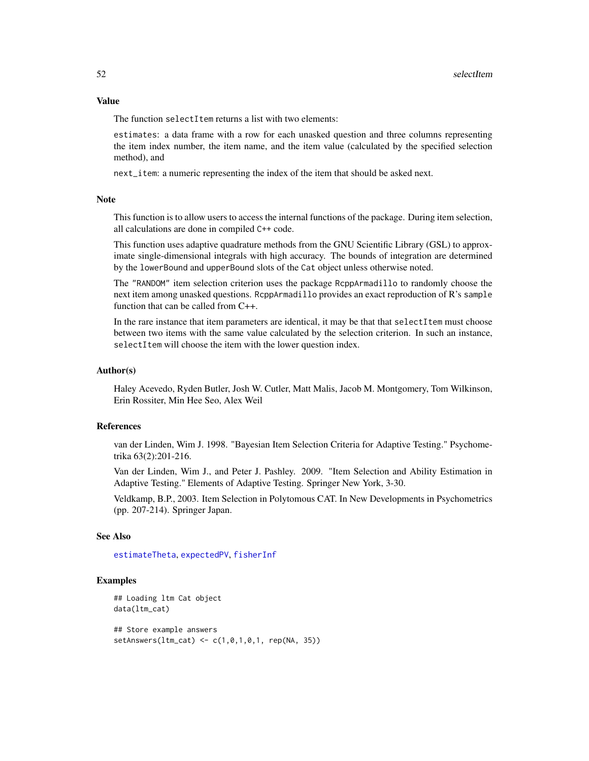### Value

The function selectItem returns a list with two elements:

estimates: a data frame with a row for each unasked question and three columns representing the item index number, the item name, and the item value (calculated by the specified selection method), and

next\_item: a numeric representing the index of the item that should be asked next.

#### Note

This function is to allow users to access the internal functions of the package. During item selection, all calculations are done in compiled C++ code.

This function uses adaptive quadrature methods from the GNU Scientific Library (GSL) to approximate single-dimensional integrals with high accuracy. The bounds of integration are determined by the lowerBound and upperBound slots of the Cat object unless otherwise noted.

The "RANDOM" item selection criterion uses the package RcppArmadillo to randomly choose the next item among unasked questions. RcppArmadillo provides an exact reproduction of R's sample function that can be called from C++.

In the rare instance that item parameters are identical, it may be that that selectItem must choose between two items with the same value calculated by the selection criterion. In such an instance, selectItem will choose the item with the lower question index.

#### Author(s)

Haley Acevedo, Ryden Butler, Josh W. Cutler, Matt Malis, Jacob M. Montgomery, Tom Wilkinson, Erin Rossiter, Min Hee Seo, Alex Weil

### References

van der Linden, Wim J. 1998. "Bayesian Item Selection Criteria for Adaptive Testing." Psychometrika 63(2):201-216.

Van der Linden, Wim J., and Peter J. Pashley. 2009. "Item Selection and Ability Estimation in Adaptive Testing." Elements of Adaptive Testing. Springer New York, 3-30.

Veldkamp, B.P., 2003. Item Selection in Polytomous CAT. In New Developments in Psychometrics (pp. 207-214). Springer Japan.

### See Also

[estimateTheta](#page-10-1), [expectedPV](#page-15-1), [fisherInf](#page-16-1)

#### Examples

```
## Loading ltm Cat object
data(ltm_cat)
## Store example answers
setAnswers(ltm_cat) <- c(1,0,1,0,1, rep(NA, 35))
```
<span id="page-51-0"></span>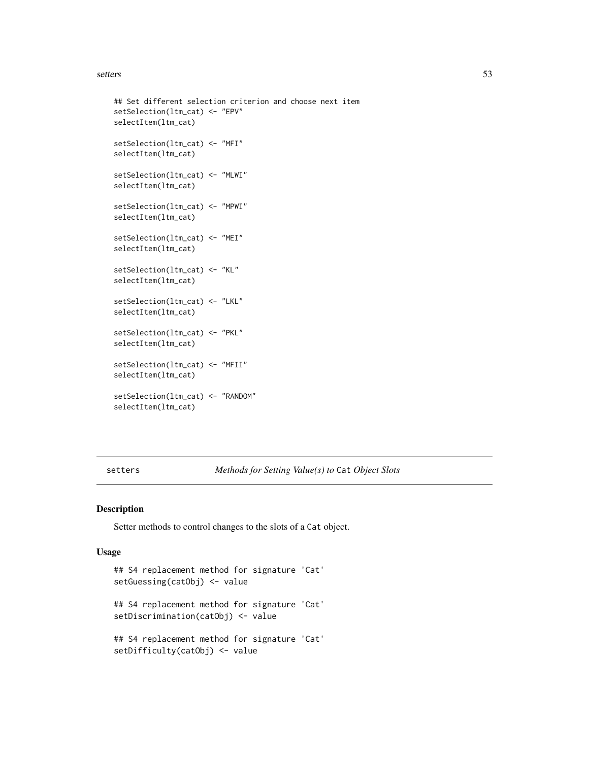#### <span id="page-52-0"></span>setters 53

```
## Set different selection criterion and choose next item
setSelection(ltm_cat) <- "EPV"
selectItem(ltm_cat)
setSelection(ltm_cat) <- "MFI"
selectItem(ltm_cat)
setSelection(ltm_cat) <- "MLWI"
selectItem(ltm_cat)
setSelection(ltm_cat) <- "MPWI"
selectItem(ltm_cat)
setSelection(ltm_cat) <- "MEI"
selectItem(ltm_cat)
setSelection(ltm_cat) <- "KL"
selectItem(ltm_cat)
setSelection(ltm_cat) <- "LKL"
selectItem(ltm_cat)
setSelection(ltm_cat) <- "PKL"
selectItem(ltm_cat)
setSelection(ltm_cat) <- "MFII"
selectItem(ltm_cat)
setSelection(ltm_cat) <- "RANDOM"
selectItem(ltm_cat)
```
<span id="page-52-1"></span>setters *Methods for Setting Value(s) to* Cat *Object Slots*

#### Description

Setter methods to control changes to the slots of a Cat object.

#### Usage

```
## S4 replacement method for signature 'Cat'
setGuessing(catObj) <- value
## S4 replacement method for signature 'Cat'
setDiscrimination(catObj) <- value
## S4 replacement method for signature 'Cat'
setDifficulty(catObj) <- value
```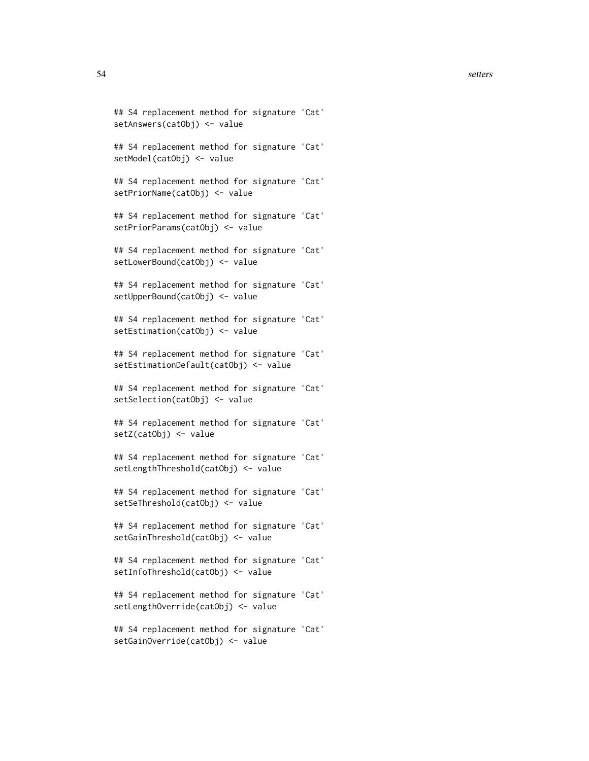#### 54 setters and the contract of the contract of the contract of the contract of the contract of the contract of the contract of the contract of the contract of the contract of the contract of the contract of the contract of

```
## S4 replacement method for signature 'Cat'
setAnswers(catObj) <- value
## S4 replacement method for signature 'Cat'
setModel(catObj) <- value
## S4 replacement method for signature 'Cat'
setPriorName(catObj) <- value
## S4 replacement method for signature 'Cat'
setPriorParams(catObj) <- value
## S4 replacement method for signature 'Cat'
setLowerBound(catObj) <- value
## S4 replacement method for signature 'Cat'
setUpperBound(catObj) <- value
## S4 replacement method for signature 'Cat'
setEstimation(catObj) <- value
## S4 replacement method for signature 'Cat'
setEstimationDefault(catObj) <- value
## S4 replacement method for signature 'Cat'
setSelection(catObj) <- value
## S4 replacement method for signature 'Cat'
setZ(catObj) <- value
## S4 replacement method for signature 'Cat'
setLengthThreshold(catObj) <- value
## S4 replacement method for signature 'Cat'
setSeThreshold(catObj) <- value
## S4 replacement method for signature 'Cat'
setGainThreshold(catObj) <- value
## S4 replacement method for signature 'Cat'
setInfoThreshold(catObj) <- value
## S4 replacement method for signature 'Cat'
setLengthOverride(catObj) <- value
## S4 replacement method for signature 'Cat'
setGainOverride(catObj) <- value
```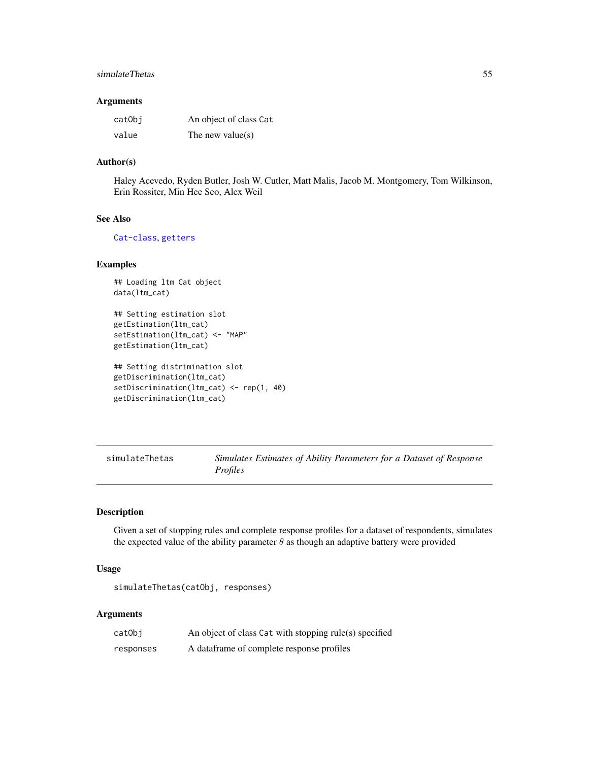### <span id="page-54-0"></span>simulateThetas 55

#### Arguments

| catObi | An object of class Cat |
|--------|------------------------|
| value  | The new value(s)       |

#### Author(s)

Haley Acevedo, Ryden Butler, Josh W. Cutler, Matt Malis, Jacob M. Montgomery, Tom Wilkinson, Erin Rossiter, Min Hee Seo, Alex Weil

### See Also

[Cat-class](#page-1-1), [getters](#page-19-1)

### Examples

```
## Loading ltm Cat object
data(ltm_cat)
```

```
## Setting estimation slot
getEstimation(ltm_cat)
setEstimation(ltm_cat) <- "MAP"
getEstimation(ltm_cat)
```

```
## Setting distrimination slot
getDiscrimination(ltm_cat)
setDiscrimination(ltm_cat) <- rep(1, 40)
getDiscrimination(ltm_cat)
```

| simulateThetas | Simulates Estimates of Ability Parameters for a Dataset of Response |
|----------------|---------------------------------------------------------------------|
|                | <i>Profiles</i>                                                     |

### Description

Given a set of stopping rules and complete response profiles for a dataset of respondents, simulates the expected value of the ability parameter  $\theta$  as though an adaptive battery were provided

#### Usage

```
simulateThetas(catObj, responses)
```
### Arguments

| catObi    | An object of class Cat with stopping rule(s) specified |
|-----------|--------------------------------------------------------|
| responses | A data frame of complete response profiles             |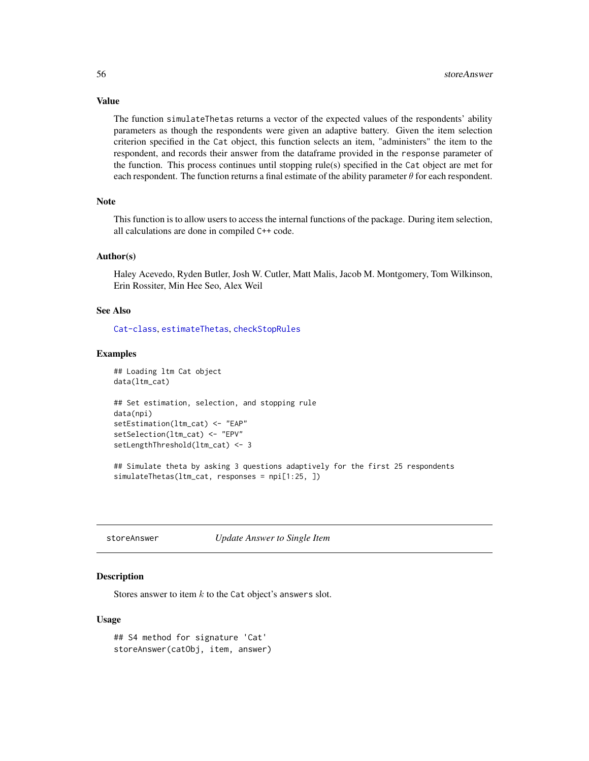Value

The function simulateThetas returns a vector of the expected values of the respondents' ability parameters as though the respondents were given an adaptive battery. Given the item selection criterion specified in the Cat object, this function selects an item, "administers" the item to the respondent, and records their answer from the dataframe provided in the response parameter of the function. This process continues until stopping rule(s) specified in the Cat object are met for each respondent. The function returns a final estimate of the ability parameter  $\theta$  for each respondent.

### Note

This function is to allow users to access the internal functions of the package. During item selection, all calculations are done in compiled C++ code.

#### Author(s)

Haley Acevedo, Ryden Butler, Josh W. Cutler, Matt Malis, Jacob M. Montgomery, Tom Wilkinson, Erin Rossiter, Min Hee Seo, Alex Weil

### See Also

[Cat-class](#page-1-1), [estimateThetas](#page-12-1), [checkStopRules](#page-3-1)

### Examples

```
## Loading ltm Cat object
data(ltm_cat)
## Set estimation, selection, and stopping rule
data(npi)
setEstimation(ltm_cat) <- "EAP"
setSelection(ltm_cat) <- "EPV"
setLengthThreshold(ltm_cat) <- 3
## Simulate theta by asking 3 questions adaptively for the first 25 respondents
simulateThetas(ltm_cat, responses = npi[1:25, ])
```

```
storeAnswer Update Answer to Single Item
```
### **Description**

Stores answer to item  $k$  to the Cat object's answers slot.

#### Usage

## S4 method for signature 'Cat' storeAnswer(catObj, item, answer)

<span id="page-55-0"></span>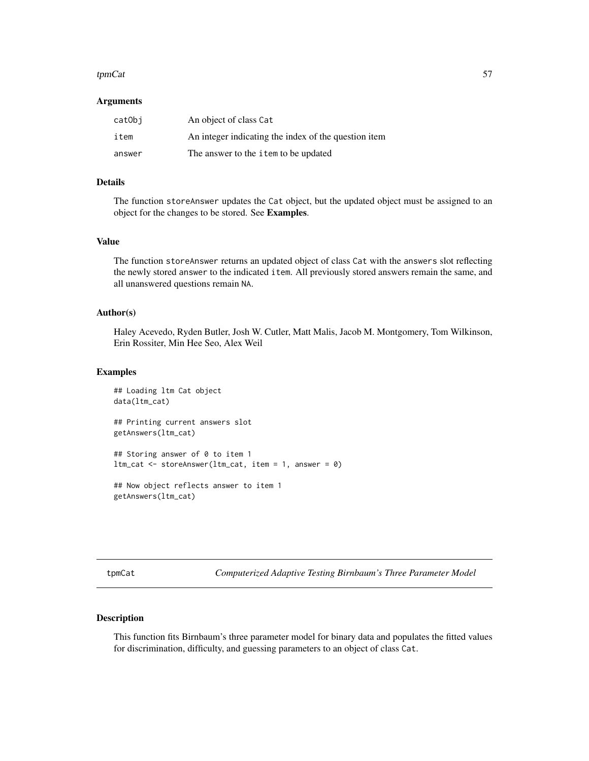#### <span id="page-56-0"></span>tpmCat 57

#### Arguments

| catObi | An object of class Cat                               |
|--------|------------------------------------------------------|
| item   | An integer indicating the index of the question item |
| answer | The answer to the <i>i</i> tem to be updated         |

#### Details

The function storeAnswer updates the Cat object, but the updated object must be assigned to an object for the changes to be stored. See Examples.

### Value

The function storeAnswer returns an updated object of class Cat with the answers slot reflecting the newly stored answer to the indicated item. All previously stored answers remain the same, and all unanswered questions remain NA.

### Author(s)

Haley Acevedo, Ryden Butler, Josh W. Cutler, Matt Malis, Jacob M. Montgomery, Tom Wilkinson, Erin Rossiter, Min Hee Seo, Alex Weil

#### Examples

```
## Loading ltm Cat object
data(ltm_cat)
## Printing current answers slot
getAnswers(ltm_cat)
## Storing answer of 0 to item 1
ltm_{cat} \le -storeAnswer(ltm_{cat}, item = 1, answer = 0)## Now object reflects answer to item 1
getAnswers(ltm_cat)
```
<span id="page-56-1"></span>tpmCat *Computerized Adaptive Testing Birnbaum's Three Parameter Model*

### Description

This function fits Birnbaum's three parameter model for binary data and populates the fitted values for discrimination, difficulty, and guessing parameters to an object of class Cat.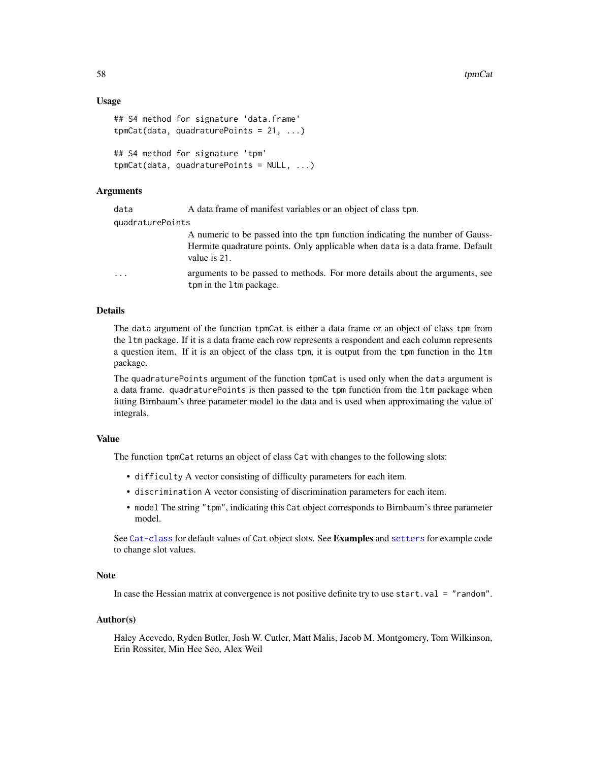#### <span id="page-57-0"></span>Usage

```
## S4 method for signature 'data.frame'
tpmCat(data, quadraturePoints = 21, ...)
## S4 method for signature 'tpm'
tpmCat(data, quadraturePoints = NULL, ...)
```
### Arguments

data A data frame of manifest variables or an object of class tpm.

```
quadraturePoints
```
A numeric to be passed into the tpm function indicating the number of Gauss-Hermite quadrature points. Only applicable when data is a data frame. Default value is 21.

... arguments to be passed to methods. For more details about the arguments, see tpm in the 1tm package.

#### Details

The data argument of the function tpmCat is either a data frame or an object of class tpm from the ltm package. If it is a data frame each row represents a respondent and each column represents a question item. If it is an object of the class tpm, it is output from the tpm function in the ltm package.

The quadraturePoints argument of the function tpmCat is used only when the data argument is a data frame. quadraturePoints is then passed to the tpm function from the ltm package when fitting Birnbaum's three parameter model to the data and is used when approximating the value of integrals.

#### Value

The function tpmCat returns an object of class Cat with changes to the following slots:

- difficulty A vector consisting of difficulty parameters for each item.
- discrimination A vector consisting of discrimination parameters for each item.
- model The string "tpm", indicating this Cat object corresponds to Birnbaum's three parameter model.

See [Cat-class](#page-1-1) for default values of Cat object slots. See Examples and [setters](#page-52-1) for example code to change slot values.

#### **Note**

In case the Hessian matrix at convergence is not positive definite try to use start.val = "random".

### Author(s)

Haley Acevedo, Ryden Butler, Josh W. Cutler, Matt Malis, Jacob M. Montgomery, Tom Wilkinson, Erin Rossiter, Min Hee Seo, Alex Weil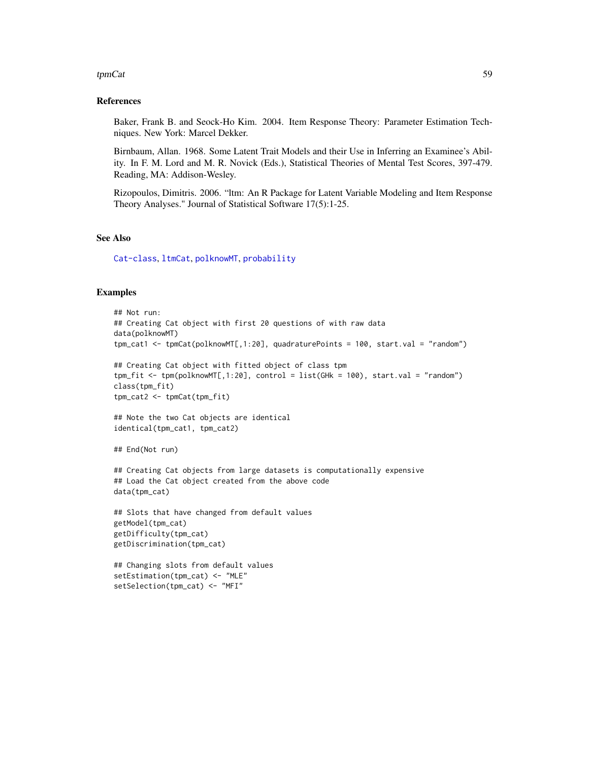#### <span id="page-58-0"></span>tpmCat 59

#### References

Baker, Frank B. and Seock-Ho Kim. 2004. Item Response Theory: Parameter Estimation Techniques. New York: Marcel Dekker.

Birnbaum, Allan. 1968. Some Latent Trait Models and their Use in Inferring an Examinee's Ability. In F. M. Lord and M. R. Novick (Eds.), Statistical Theories of Mental Test Scores, 397-479. Reading, MA: Addison-Wesley.

Rizopoulos, Dimitris. 2006. "ltm: An R Package for Latent Variable Modeling and Item Response Theory Analyses." Journal of Statistical Software 17(5):1-25.

### See Also

[Cat-class](#page-1-1), [ltmCat](#page-30-1), [polknowMT](#page-38-1), [probability](#page-47-1)

setSelection(tpm\_cat) <- "MFI"

#### Examples

```
## Not run:
## Creating Cat object with first 20 questions of with raw data
data(polknowMT)
tpm_cat1 <- tpmCat(polknowMT[,1:20], quadraturePoints = 100, start.val = "random")
## Creating Cat object with fitted object of class tpm
tpm_fit <- tpm(polknownMT[,1:20], control = list(GHk = 100), start.val = "random")
class(tpm_fit)
tpm_cat2 <- tpmCat(tpm_fit)
## Note the two Cat objects are identical
identical(tpm_cat1, tpm_cat2)
## End(Not run)
## Creating Cat objects from large datasets is computationally expensive
## Load the Cat object created from the above code
data(tpm_cat)
## Slots that have changed from default values
getModel(tpm_cat)
getDifficulty(tpm_cat)
getDiscrimination(tpm_cat)
## Changing slots from default values
setEstimation(tpm_cat) <- "MLE"
```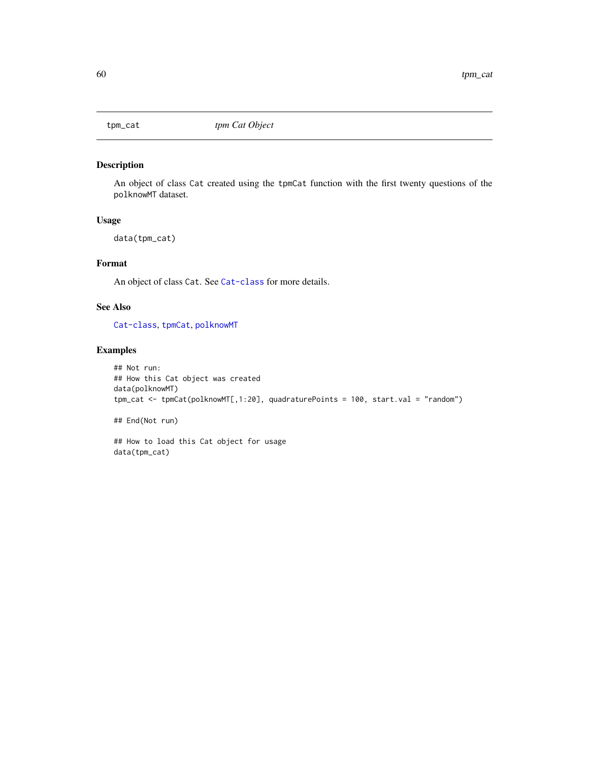<span id="page-59-0"></span>

### Description

An object of class Cat created using the tpmCat function with the first twenty questions of the polknowMT dataset.

#### Usage

data(tpm\_cat)

### Format

An object of class Cat. See [Cat-class](#page-1-1) for more details.

### See Also

[Cat-class](#page-1-1), [tpmCat](#page-56-1), [polknowMT](#page-38-1)

### Examples

```
## Not run:
## How this Cat object was created
data(polknowMT)
tpm_cat <- tpmCat(polknowMT[,1:20], quadraturePoints = 100, start.val = "random")
```
## End(Not run)

```
## How to load this Cat object for usage
data(tpm_cat)
```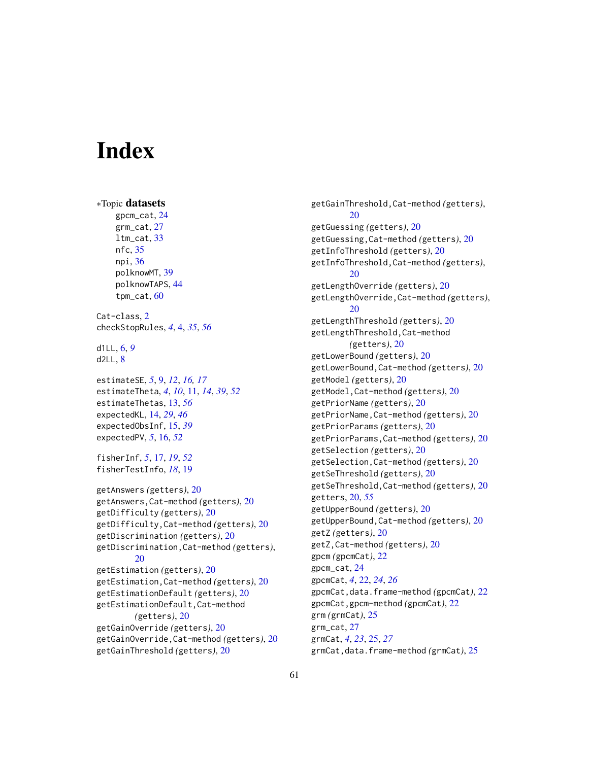# <span id="page-60-0"></span>**Index**

∗Topic datasets gpcm\_cat, [24](#page-23-0) grm\_cat, [27](#page-26-0) ltm\_cat, [33](#page-32-0) nfc, [35](#page-34-0) npi, [36](#page-35-0) polknowMT, [39](#page-38-0) polknowTAPS, [44](#page-43-0) tpm\_cat, [60](#page-59-0) Cat-class, [2](#page-1-0) checkStopRules, *[4](#page-3-0)*, [4,](#page-3-0) *[35](#page-34-0)*, *[56](#page-55-0)* d1LL, [6,](#page-5-0) *[9](#page-8-0)* d2LL, [8](#page-7-0) estimateSE, *[5](#page-4-0)*, [9,](#page-8-0) *[12](#page-11-0)*, *[16,](#page-15-0) [17](#page-16-0)* estimateTheta, *[4](#page-3-0)*, *[10](#page-9-0)*, [11,](#page-10-0) *[14](#page-13-0)*, *[39](#page-38-0)*, *[52](#page-51-0)* estimateThetas, [13,](#page-12-0) *[56](#page-55-0)* expectedKL, [14,](#page-13-0) *[29](#page-28-0)*, *[46](#page-45-0)* expectedObsInf, [15,](#page-14-0) *[39](#page-38-0)* expectedPV, *[5](#page-4-0)*, [16,](#page-15-0) *[52](#page-51-0)* fisherInf, *[5](#page-4-0)*, [17,](#page-16-0) *[19](#page-18-0)*, *[52](#page-51-0)* fisherTestInfo, *[18](#page-17-0)*, [19](#page-18-0) getAnswers *(*getters*)*, [20](#page-19-0) getAnswers,Cat-method *(*getters*)*, [20](#page-19-0) getDifficulty *(*getters*)*, [20](#page-19-0) getDifficulty,Cat-method *(*getters*)*, [20](#page-19-0) getDiscrimination *(*getters*)*, [20](#page-19-0) getDiscrimination,Cat-method *(*getters*)*, [20](#page-19-0) getEstimation *(*getters*)*, [20](#page-19-0) getEstimation,Cat-method *(*getters*)*, [20](#page-19-0) getEstimationDefault *(*getters*)*, [20](#page-19-0) getEstimationDefault,Cat-method *(*getters*)*, [20](#page-19-0) getGainOverride *(*getters*)*, [20](#page-19-0) getGainOverride,Cat-method *(*getters*)*, [20](#page-19-0) getGainThreshold *(*getters*)*, [20](#page-19-0)

getGainThreshold,Cat-method *(*getters*)*, [20](#page-19-0) getGuessing *(*getters*)*, [20](#page-19-0) getGuessing,Cat-method *(*getters*)*, [20](#page-19-0) getInfoThreshold *(*getters*)*, [20](#page-19-0) getInfoThreshold,Cat-method *(*getters*)*, [20](#page-19-0) getLengthOverride *(*getters*)*, [20](#page-19-0) getLengthOverride,Cat-method *(*getters*)*, [20](#page-19-0) getLengthThreshold *(*getters*)*, [20](#page-19-0) getLengthThreshold,Cat-method *(*getters*)*, [20](#page-19-0) getLowerBound *(*getters*)*, [20](#page-19-0) getLowerBound,Cat-method *(*getters*)*, [20](#page-19-0) getModel *(*getters*)*, [20](#page-19-0) getModel,Cat-method *(*getters*)*, [20](#page-19-0) getPriorName *(*getters*)*, [20](#page-19-0) getPriorName,Cat-method *(*getters*)*, [20](#page-19-0) getPriorParams *(*getters*)*, [20](#page-19-0) getPriorParams,Cat-method *(*getters*)*, [20](#page-19-0) getSelection *(*getters*)*, [20](#page-19-0) getSelection,Cat-method *(*getters*)*, [20](#page-19-0) getSeThreshold *(*getters*)*, [20](#page-19-0) getSeThreshold,Cat-method *(*getters*)*, [20](#page-19-0) getters, [20,](#page-19-0) *[55](#page-54-0)* getUpperBound *(*getters*)*, [20](#page-19-0) getUpperBound,Cat-method *(*getters*)*, [20](#page-19-0) getZ *(*getters*)*, [20](#page-19-0) getZ,Cat-method *(*getters*)*, [20](#page-19-0) gpcm *(*gpcmCat*)*, [22](#page-21-0) gpcm\_cat, [24](#page-23-0) gpcmCat, *[4](#page-3-0)*, [22,](#page-21-0) *[24](#page-23-0)*, *[26](#page-25-0)* gpcmCat,data.frame-method *(*gpcmCat*)*, [22](#page-21-0) gpcmCat,gpcm-method *(*gpcmCat*)*, [22](#page-21-0) grm *(*grmCat*)*, [25](#page-24-0) grm\_cat, [27](#page-26-0) grmCat, *[4](#page-3-0)*, *[23](#page-22-0)*, [25,](#page-24-0) *[27](#page-26-0)* grmCat,data.frame-method *(*grmCat*)*, [25](#page-24-0)